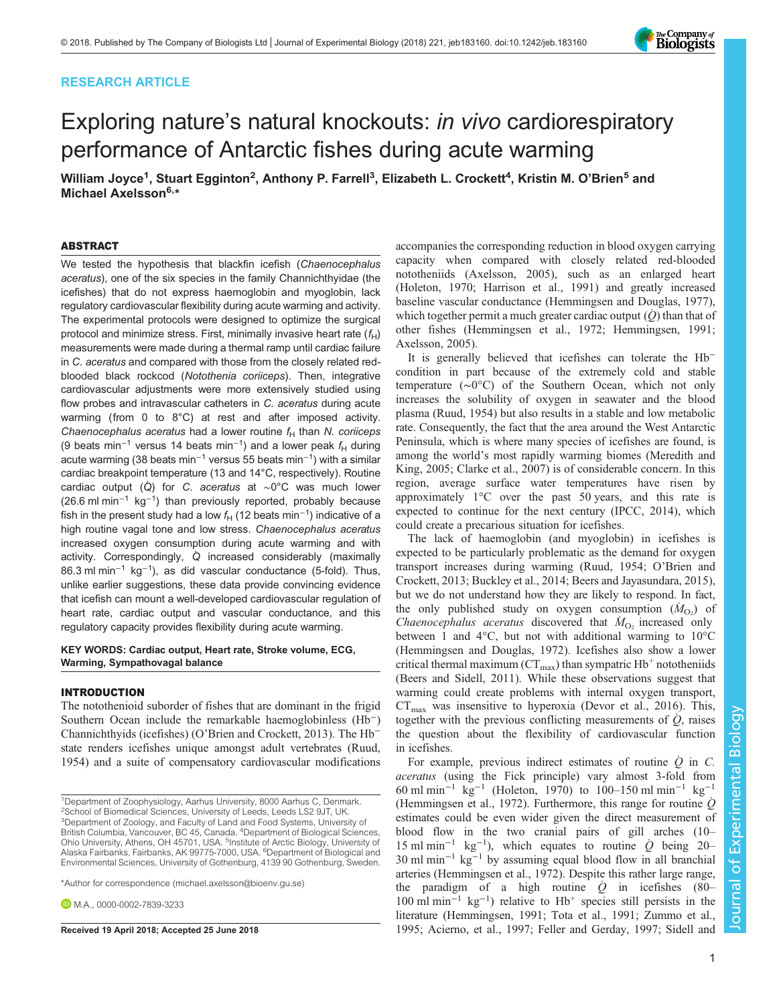## RESEARCH ARTICLE

# Exploring nature's natural knockouts: in vivo cardiorespiratory performance of Antarctic fishes during acute warming

William Joyce<sup>1</sup>, Stuart Egginton<sup>2</sup>, Anthony P. Farrell<sup>3</sup>, Elizabeth L. Crockett<sup>4</sup>, Kristin M. O'Brien<sup>5</sup> and Michael Axelsson<sup>6,\*</sup>

## ABSTRACT

We tested the hypothesis that blackfin icefish (Chaenocephalus aceratus), one of the six species in the family Channichthyidae (the icefishes) that do not express haemoglobin and myoglobin, lack regulatory cardiovascular flexibility during acute warming and activity. The experimental protocols were designed to optimize the surgical protocol and minimize stress. First, minimally invasive heart rate  $(f_H)$ measurements were made during a thermal ramp until cardiac failure in C. aceratus and compared with those from the closely related redblooded black rockcod (Notothenia coriiceps). Then, integrative cardiovascular adjustments were more extensively studied using flow probes and intravascular catheters in C. aceratus during acute warming (from 0 to 8°C) at rest and after imposed activity. Chaenocephalus aceratus had a lower routine  $f_H$  than N. coriiceps (9 beats min<sup>-1</sup> versus 14 beats min<sup>-1</sup>) and a lower peak  $f_H$  during acute warming (38 beats min−<sup>1</sup> versus 55 beats min<sup>−</sup>1) with a similar cardiac breakpoint temperature (13 and 14°C, respectively). Routine cardiac output (Q) for C. aceratus at ~0°C was much lower (26.6 ml min−<sup>1</sup> kg<sup>−</sup>1) than previously reported, probably because fish in the present study had a low  $f_H$  (12 beats min<sup>-1</sup>) indicative of a high routine vagal tone and low stress. Chaenocephalus aceratus increased oxygen consumption during acute warming and with activity. Correspondingly, Q increased considerably (maximally 86.3 ml min−<sup>1</sup> kg<sup>−</sup>1), as did vascular conductance (5-fold). Thus, unlike earlier suggestions, these data provide convincing evidence that icefish can mount a well-developed cardiovascular regulation of heart rate, cardiac output and vascular conductance, and this regulatory capacity provides flexibility during acute warming.

KEY WORDS: Cardiac output, Heart rate, Stroke volume, ECG, Warming, Sympathovagal balance

#### INTRODUCTION

The notothenioid suborder of fishes that are dominant in the frigid Southern Ocean include the remarkable haemoglobinless (Hb−) Channichthyids (icefishes) (O'[Brien and Crockett, 2013\)](#page-11-0). The Hb<sup>−</sup> state renders icefishes unique amongst adult vertebrates [\(Ruud,](#page-11-0) [1954](#page-11-0)) and a suite of compensatory cardiovascular modifications

\*Author for correspondence [\(michael.axelsson@bioenv.gu.se\)](mailto:michael.axelsson@bioenv.gu.se)

**D.**M.A., [0000-0002-7839-3233](http://orcid.org/0000-0002-7839-3233)

accompanies the corresponding reduction in blood oxygen carrying capacity when compared with closely related red-blooded nototheniids ([Axelsson, 2005\)](#page-10-0), such as an enlarged heart [\(Holeton, 1970; Harrison et al., 1991\)](#page-10-0) and greatly increased baseline vascular conductance ([Hemmingsen and Douglas, 1977\)](#page-10-0), which together permit a much greater cardiac output  $\dot{Q}$ ) than that of other fishes ([Hemmingsen et al., 1972; Hemmingsen, 1991](#page-10-0); [Axelsson, 2005](#page-10-0)).

It is generally believed that icefishes can tolerate the Hb<sup>−</sup> condition in part because of the extremely cold and stable temperature (∼0°C) of the Southern Ocean, which not only increases the solubility of oxygen in seawater and the blood plasma [\(Ruud, 1954\)](#page-11-0) but also results in a stable and low metabolic rate. Consequently, the fact that the area around the West Antarctic Peninsula, which is where many species of icefishes are found, is among the world's most rapidly warming biomes [\(Meredith and](#page-11-0) [King, 2005;](#page-11-0) [Clarke et al., 2007](#page-10-0)) is of considerable concern. In this region, average surface water temperatures have risen by approximately  $1^{\circ}$ C over the past 50 years, and this rate is expected to continue for the next century ([IPCC, 2014](#page-10-0)), which could create a precarious situation for icefishes.

The lack of haemoglobin (and myoglobin) in icefishes is expected to be particularly problematic as the demand for oxygen transport increases during warming [\(Ruud, 1954](#page-11-0); O'[Brien and](#page-11-0) [Crockett, 2013](#page-11-0); [Buckley et al., 2014](#page-10-0); [Beers and Jayasundara, 2015\)](#page-10-0), but we do not understand how they are likely to respond. In fact, the only published study on oxygen consumption  $(M<sub>O<sub>2</sub></sub>)$  of Chaenocephalus aceratus discovered that  $\dot{M}_{\text{O}_2}$  increased only between 1 and 4°C, but not with additional warming to 10°C [\(Hemmingsen and Douglas, 1972](#page-10-0)). Icefishes also show a lower critical thermal maximum ( $CT_{\text{max}}$ ) than sympatric Hb<sup>+</sup> nototheniids [\(Beers and Sidell, 2011\)](#page-10-0). While these observations suggest that warming could create problems with internal oxygen transport,  $CT_{\text{max}}$  was insensitive to hyperoxia [\(Devor et al., 2016\)](#page-10-0). This, together with the previous conflicting measurements of  $\dot{Q}$ , raises the question about the flexibility of cardiovascular function in icefishes.

For example, previous indirect estimates of routine  $Q$  in  $C$ . aceratus (using the Fick principle) vary almost 3-fold from 60 ml min−<sup>1</sup> kg−<sup>1</sup> [\(Holeton, 1970](#page-10-0)) to 100–150 ml min−<sup>1</sup> kg−<sup>1</sup> [\(Hemmingsen et al., 1972](#page-10-0)). Furthermore, this range for routine  $\dot{Q}$ estimates could be even wider given the direct measurement of blood flow in the two cranial pairs of gill arches (10– 15 ml min<sup>-1</sup> kg<sup>-1</sup>), which equates to routine  $\dot{Q}$  being 20– 30 ml min−<sup>1</sup> kg−<sup>1</sup> by assuming equal blood flow in all branchial arteries [\(Hemmingsen et al., 1972](#page-10-0)). Despite this rather large range, the paradigm of a high routine  $\dot{Q}$  in icefishes (80–  $100 \text{ ml min}^{-1} \text{ kg}^{-1}$ ) relative to Hb<sup>+</sup> species still persists in the literature [\(Hemmingsen, 1991;](#page-10-0) [Tota et al., 1991](#page-11-0); [Zummo et al.,](#page-11-0) Received 19 April 2018; Accepted 25 June 2018 [1995;](#page-11-0) [Acierno, et al., 1997; Feller and Gerday, 1997;](#page-10-0) [Sidell and](#page-11-0)

Journal of Experimental Biology

Journal of

Experimental Biology



<sup>&</sup>lt;sup>1</sup>Department of Zoophysiology, Aarhus University, 8000 Aarhus C, Denmark. <sup>2</sup>School of Biomedical Sciences, University of Leeds, Leeds LS2 9JT, UK. <sup>3</sup>Department of Zoology, and Faculty of Land and Food Systems, University of British Columbia, Vancouver, BC 45, Canada. <sup>4</sup>Department of Biological Sciences,<br>Ohio University, Athens, OH 45701, USA. <sup>5</sup>Institute of Arctic Biology, University of Alaska Fairbanks, Fairbanks, AK 99775-7000, USA. <sup>6</sup>Department of Biological and Environmental Sciences, University of Gothenburg, 4139 90 Gothenburg, Sweden.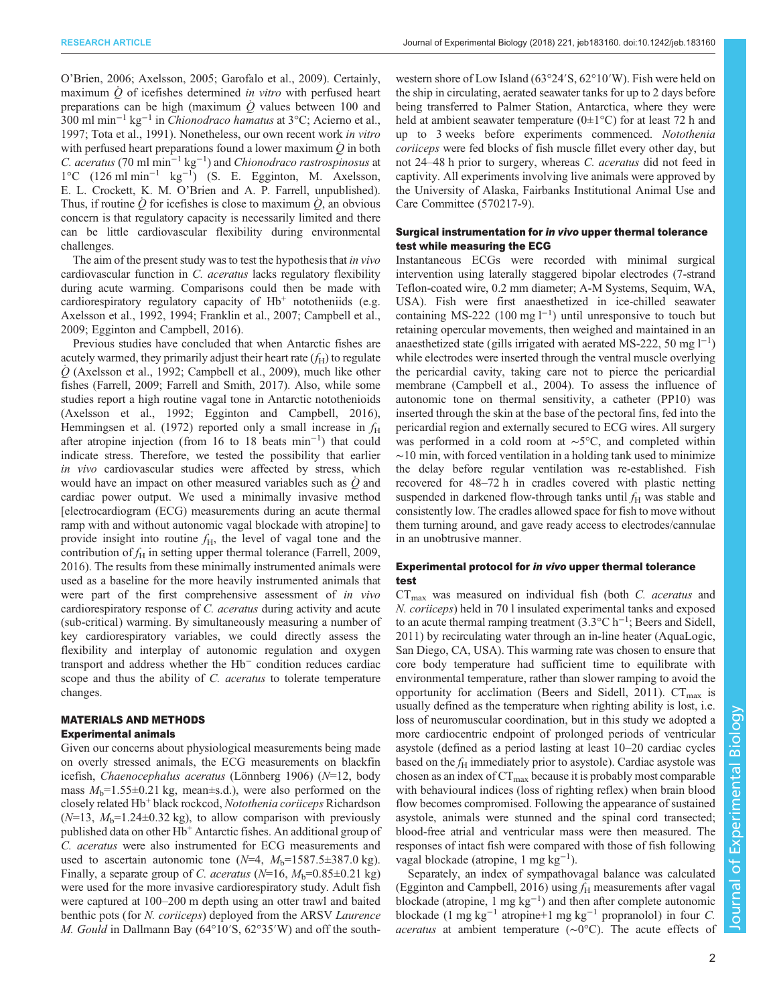O'[Brien, 2006](#page-11-0); [Axelsson, 2005; Garofalo et al., 2009](#page-10-0)). Certainly, maximum  $Q$  of icefishes determined in vitro with perfused heart preparations can be high (maximum  $\dot{Q}$  values between 100 and 300 ml min<sup>-1</sup> kg<sup>-1</sup> in *Chionodraco hamatus* at 3°C; [Acierno et al.,](#page-10-0) [1997](#page-10-0); [Tota et al., 1991\)](#page-11-0). Nonetheless, our own recent work in vitro with perfused heart preparations found a lower maximum  $\dot{Q}$  in both C. aceratus (70 ml  $\text{min}^{-1}$  kg<sup>-1</sup>) and Chionodraco rastrospinosus at 1°C (126 ml min−<sup>1</sup> kg−<sup>1</sup> ) (S. E. Egginton, M. Axelsson, E. L. Crockett, K. M. O'Brien and A. P. Farrell, unpublished). Thus, if routine  $\dot{Q}$  for icefishes is close to maximum  $\dot{Q}$ , an obvious concern is that regulatory capacity is necessarily limited and there can be little cardiovascular flexibility during environmental challenges.

The aim of the present study was to test the hypothesis that *in vivo* cardiovascular function in C. aceratus lacks regulatory flexibility during acute warming. Comparisons could then be made with cardiorespiratory regulatory capacity of  $Hb<sup>+</sup>$  nototheniids (e.g. [Axelsson et al., 1992](#page-10-0), [1994](#page-10-0); [Franklin et al., 2007; Campbell et al.,](#page-10-0) [2009](#page-10-0); [Egginton and Campbell, 2016\)](#page-10-0).

Previous studies have concluded that when Antarctic fishes are acutely warmed, they primarily adjust their heart rate  $(f_H)$  to regulate  $\dot{\mathcal{O}}$  ([Axelsson et al., 1992; Campbell et al., 2009](#page-10-0)), much like other fishes [\(Farrell, 2009; Farrell and Smith, 2017](#page-10-0)). Also, while some studies report a high routine vagal tone in Antarctic notothenioids [\(Axelsson et al., 1992](#page-10-0); [Egginton and Campbell, 2016\)](#page-10-0), [Hemmingsen et al. \(1972\)](#page-10-0) reported only a small increase in  $f_H$ after atropine injection (from 16 to 18 beats min−<sup>1</sup> ) that could indicate stress. Therefore, we tested the possibility that earlier in vivo cardiovascular studies were affected by stress, which would have an impact on other measured variables such as  $\dot{Q}$  and cardiac power output. We used a minimally invasive method [electrocardiogram (ECG) measurements during an acute thermal ramp with and without autonomic vagal blockade with atropine] to provide insight into routine  $f_{\rm H}$ , the level of vagal tone and the contribution of  $f_H$  in setting upper thermal tolerance [\(Farrell, 2009,](#page-10-0) [2016](#page-10-0)). The results from these minimally instrumented animals were used as a baseline for the more heavily instrumented animals that were part of the first comprehensive assessment of *in vivo* cardiorespiratory response of C. aceratus during activity and acute (sub-critical) warming. By simultaneously measuring a number of key cardiorespiratory variables, we could directly assess the flexibility and interplay of autonomic regulation and oxygen transport and address whether the Hb<sup>−</sup> condition reduces cardiac scope and thus the ability of C. *aceratus* to tolerate temperature changes.

# MATERIALS AND METHODS

## Experimental animals

Given our concerns about physiological measurements being made on overly stressed animals, the ECG measurements on blackfin icefish, Chaenocephalus aceratus (Lönnberg 1906) (N=12, body mass  $M_b=1.55\pm0.21$  kg, mean $\pm$ s.d.), were also performed on the closely related Hb<sup>+</sup> black rockcod, Notothenia coriiceps Richardson  $(N=13, M_b=1.24\pm0.32 \text{ kg})$ , to allow comparison with previously published data on other Hb<sup>+</sup> Antarctic fishes. An additional group of C. aceratus were also instrumented for ECG measurements and used to ascertain autonomic tone  $(N=4, M_b=1587.5\pm387.0 \text{ kg})$ . Finally, a separate group of C. aceratus ( $N=16$ ,  $M_h=0.85\pm0.21$  kg) were used for the more invasive cardiorespiratory study. Adult fish were captured at 100–200 m depth using an otter trawl and baited benthic pots (for *N. coriiceps*) deployed from the ARSV *Laurence* M. Gould in Dallmann Bay (64°10′S, 62°35′W) and off the south-

western shore of Low Island (63°24′S, 62°10′W). Fish were held on the ship in circulating, aerated seawater tanks for up to 2 days before being transferred to Palmer Station, Antarctica, where they were held at ambient seawater temperature  $(0\pm1\degree C)$  for at least 72 h and up to 3 weeks before experiments commenced. Notothenia coriiceps were fed blocks of fish muscle fillet every other day, but not 24–48 h prior to surgery, whereas C. aceratus did not feed in captivity. All experiments involving live animals were approved by the University of Alaska, Fairbanks Institutional Animal Use and Care Committee (570217-9).

## Surgical instrumentation for in vivo upper thermal tolerance test while measuring the ECG

Instantaneous ECGs were recorded with minimal surgical intervention using laterally staggered bipolar electrodes (7-strand Teflon-coated wire, 0.2 mm diameter; A-M Systems, Sequim, WA, USA). Fish were first anaesthetized in ice-chilled seawater containing MS-222 (100 mg  $l^{-1}$ ) until unresponsive to touch but retaining opercular movements, then weighed and maintained in an anaesthetized state (gills irrigated with aerated MS-222, 50 mg l−<sup>1</sup> ) while electrodes were inserted through the ventral muscle overlying the pericardial cavity, taking care not to pierce the pericardial membrane [\(Campbell et al., 2004](#page-10-0)). To assess the influence of autonomic tone on thermal sensitivity, a catheter (PP10) was inserted through the skin at the base of the pectoral fins, fed into the pericardial region and externally secured to ECG wires. All surgery was performed in a cold room at ∼5°C, and completed within  $\sim$ 10 min, with forced ventilation in a holding tank used to minimize the delay before regular ventilation was re-established. Fish recovered for 48–72 h in cradles covered with plastic netting suspended in darkened flow-through tanks until  $f_H$  was stable and consistently low. The cradles allowed space for fish to move without them turning around, and gave ready access to electrodes/cannulae in an unobtrusive manner.

## Experimental protocol for in vivo upper thermal tolerance test

 $CT_{\text{max}}$  was measured on individual fish (both C. aceratus and N. coriiceps) held in 70 l insulated experimental tanks and exposed to an acute thermal ramping treatment (3.3°C h−<sup>1</sup> ; [Beers and Sidell,](#page-10-0) [2011\)](#page-10-0) by recirculating water through an in-line heater (AquaLogic, San Diego, CA, USA). This warming rate was chosen to ensure that core body temperature had sufficient time to equilibrate with environmental temperature, rather than slower ramping to avoid the opportunity for acclimation ([Beers and Sidell, 2011\)](#page-10-0).  $CT_{\text{max}}$  is usually defined as the temperature when righting ability is lost, i.e. loss of neuromuscular coordination, but in this study we adopted a more cardiocentric endpoint of prolonged periods of ventricular asystole (defined as a period lasting at least 10–20 cardiac cycles based on the  $f_H$  immediately prior to asystole). Cardiac asystole was chosen as an index of  $CT_{\text{max}}$  because it is probably most comparable with behavioural indices (loss of righting reflex) when brain blood flow becomes compromised. Following the appearance of sustained asystole, animals were stunned and the spinal cord transected; blood-free atrial and ventricular mass were then measured. The responses of intact fish were compared with those of fish following vagal blockade (atropine, 1 mg kg−<sup>1</sup> ).

Separately, an index of sympathovagal balance was calculated [\(Egginton and Campbell, 2016](#page-10-0)) using  $f<sub>H</sub>$  measurements after vagal blockade (atropine,  $1 \text{ mg kg}^{-1}$ ) and then after complete autonomic blockade (1 mg kg−<sup>1</sup> atropine+1 mg kg−<sup>1</sup> propranolol) in four C. aceratus at ambient temperature (∼0°C). The acute effects of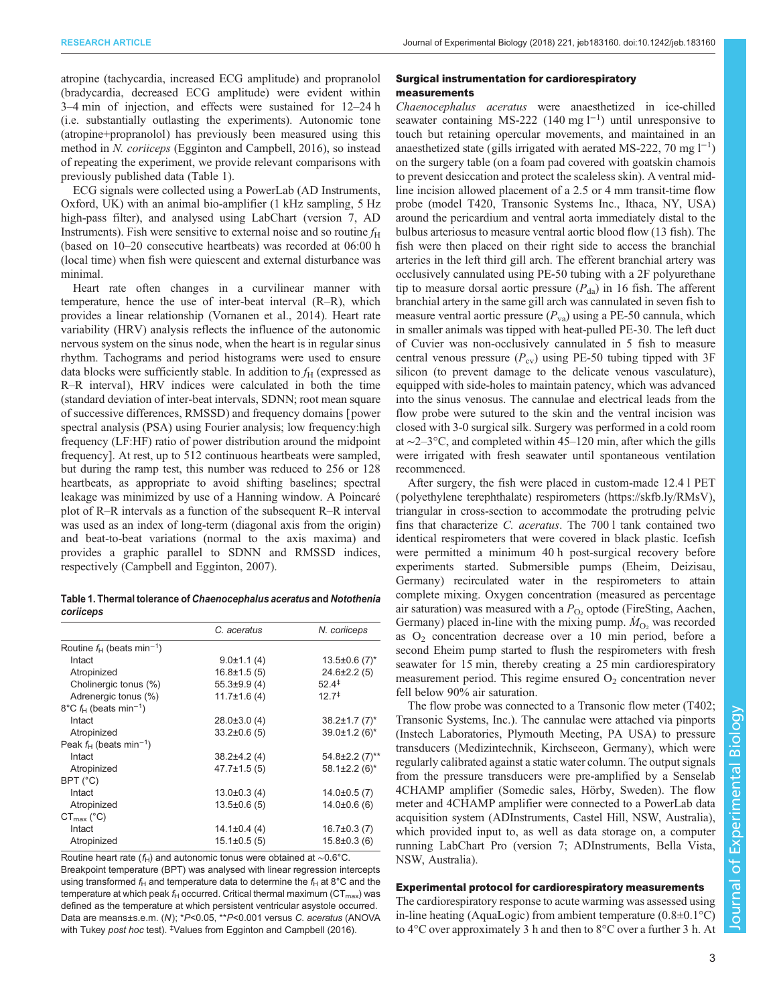<span id="page-2-0"></span>atropine (tachycardia, increased ECG amplitude) and propranolol (bradycardia, decreased ECG amplitude) were evident within 3–4 min of injection, and effects were sustained for 12–24 h (i.e. substantially outlasting the experiments). Autonomic tone (atropine+propranolol) has previously been measured using this method in N. coriiceps [\(Egginton and Campbell, 2016](#page-10-0)), so instead of repeating the experiment, we provide relevant comparisons with previously published data (Table 1).

ECG signals were collected using a PowerLab (AD Instruments, Oxford, UK) with an animal bio-amplifier (1 kHz sampling, 5 Hz high-pass filter), and analysed using LabChart (version 7, AD Instruments). Fish were sensitive to external noise and so routine  $f<sub>H</sub>$ (based on 10–20 consecutive heartbeats) was recorded at 06:00 h (local time) when fish were quiescent and external disturbance was minimal.

Heart rate often changes in a curvilinear manner with temperature, hence the use of inter-beat interval (R–R), which provides a linear relationship [\(Vornanen et al., 2014\)](#page-11-0). Heart rate variability (HRV) analysis reflects the influence of the autonomic nervous system on the sinus node, when the heart is in regular sinus rhythm. Tachograms and period histograms were used to ensure data blocks were sufficiently stable. In addition to  $f<sub>H</sub>$  (expressed as R–R interval), HRV indices were calculated in both the time (standard deviation of inter-beat intervals, SDNN; root mean square of successive differences, RMSSD) and frequency domains [ power spectral analysis (PSA) using Fourier analysis; low frequency:high frequency (LF:HF) ratio of power distribution around the midpoint frequency]. At rest, up to 512 continuous heartbeats were sampled, but during the ramp test, this number was reduced to 256 or 128 heartbeats, as appropriate to avoid shifting baselines; spectral leakage was minimized by use of a Hanning window. A Poincaré plot of R–R intervals as a function of the subsequent R–R interval was used as an index of long-term (diagonal axis from the origin) and beat-to-beat variations (normal to the axis maxima) and provides a graphic parallel to SDNN and RMSSD indices, respectively ([Campbell and Egginton, 2007](#page-10-0)).

Table 1. Thermal tolerance of Chaenocephalus aceratus and Notothenia coriiceps

|                                          | C. aceratus        | N. coriiceps         |  |
|------------------------------------------|--------------------|----------------------|--|
| Routine $f_H$ (beats min <sup>-1</sup> ) |                    |                      |  |
| Intact                                   | $9.0 \pm 1.1(4)$   | $13.5 \pm 0.6$ (7)*  |  |
| Atropinized                              | $16.8 \pm 1.5(5)$  | $24.6 \pm 2.2(5)$    |  |
| Cholinergic tonus (%)                    | $55.3 \pm 9.9(4)$  | $52.4^{\ddagger}$    |  |
| Adrenergic tonus (%)                     | $11.7 \pm 1.6$ (4) | $127^{\ddagger}$     |  |
| 8°C $f_H$ (beats min <sup>-1</sup> )     |                    |                      |  |
| Intact                                   | $28.0\pm3.0(4)$    | $38.2 \pm 1.7$ (7)*  |  |
| Atropinized                              | $33.2 \pm 0.6$ (5) | $39.0 \pm 1.2$ (6)*  |  |
| Peak $f_H$ (beats min <sup>-1</sup> )    |                    |                      |  |
| Intact                                   | $38.2\pm4.2(4)$    | $54.8 \pm 2.2(7)$ ** |  |
| Atropinized                              | $47.7 \pm 1.5(5)$  | $58.1 \pm 2.2$ (6)*  |  |
| BPT (°C)                                 |                    |                      |  |
| Intact                                   | $13.0 \pm 0.3$ (4) | $14.0 \pm 0.5(7)$    |  |
| Atropinized                              | $13.5 \pm 0.6$ (5) | $14.0 \pm 0.6$ (6)   |  |
| $CT_{\text{max}}$ (°C)                   |                    |                      |  |
| Intact                                   | $14.1 \pm 0.4(4)$  | $16.7\pm0.3(7)$      |  |
| Atropinized                              | $15.1 \pm 0.5$ (5) | $15.8 \pm 0.3$ (6)   |  |

Routine heart rate ( $f_H$ ) and autonomic tonus were obtained at ~0.6°C. Breakpoint temperature (BPT) was analysed with linear regression intercepts using transformed  $f_H$  and temperature data to determine the  $f_H$  at 8°C and the temperature at which peak  $f_H$  occurred. Critical thermal maximum (CT<sub>max</sub>) was defined as the temperature at which persistent ventricular asystole occurred. Data are means±s.e.m. (N); \*P<0.05, \*\*P<0.001 versus C. aceratus (ANOVA with Tukey post hoc test). <sup>‡</sup>Values from [Egginton and Campbell \(2016\)](#page-10-0).

#### Surgical instrumentation for cardiorespiratory measurements

Chaenocephalus aceratus were anaesthetized in ice-chilled seawater containing MS-222 (140 mg l<sup>-1</sup>) until unresponsive to touch but retaining opercular movements, and maintained in an anaesthetized state (gills irrigated with aerated MS-222, 70 mg l−<sup>1</sup> ) on the surgery table (on a foam pad covered with goatskin chamois to prevent desiccation and protect the scaleless skin). A ventral midline incision allowed placement of a 2.5 or 4 mm transit-time flow probe (model T420, Transonic Systems Inc., Ithaca, NY, USA) around the pericardium and ventral aorta immediately distal to the bulbus arteriosus to measure ventral aortic blood flow (13 fish). The fish were then placed on their right side to access the branchial arteries in the left third gill arch. The efferent branchial artery was occlusively cannulated using PE-50 tubing with a 2F polyurethane tip to measure dorsal aortic pressure  $(P_{da})$  in 16 fish. The afferent branchial artery in the same gill arch was cannulated in seven fish to measure ventral aortic pressure  $(P_{va})$  using a PE-50 cannula, which in smaller animals was tipped with heat-pulled PE-30. The left duct of Cuvier was non-occlusively cannulated in 5 fish to measure central venous pressure  $(P_{cy})$  using PE-50 tubing tipped with 3F silicon (to prevent damage to the delicate venous vasculature), equipped with side-holes to maintain patency, which was advanced into the sinus venosus. The cannulae and electrical leads from the flow probe were sutured to the skin and the ventral incision was closed with 3-0 surgical silk. Surgery was performed in a cold room at ∼2–3°C, and completed within 45–120 min, after which the gills were irrigated with fresh seawater until spontaneous ventilation recommenced.

After surgery, the fish were placed in custom-made 12.4 l PET ( polyethylene terephthalate) respirometers ([https://skfb.ly/RMsV\)](https://skfb.ly/RMsV), triangular in cross-section to accommodate the protruding pelvic fins that characterize C. aceratus. The 700 l tank contained two identical respirometers that were covered in black plastic. Icefish were permitted a minimum 40 h post-surgical recovery before experiments started. Submersible pumps (Eheim, Deizisau, Germany) recirculated water in the respirometers to attain complete mixing. Oxygen concentration (measured as percentage air saturation) was measured with a  $P_{\text{O}_2}$  optode (FireSting, Aachen, Germany) placed in-line with the mixing pump.  $\dot{M}_{\text{O}_2}$  was recorded as  $O<sub>2</sub>$  concentration decrease over a 10 min period, before a second Eheim pump started to flush the respirometers with fresh seawater for 15 min, thereby creating a 25 min cardiorespiratory measurement period. This regime ensured  $O<sub>2</sub>$  concentration never fell below 90% air saturation.

The flow probe was connected to a Transonic flow meter (T402; Transonic Systems, Inc.). The cannulae were attached via pinports (Instech Laboratories, Plymouth Meeting, PA USA) to pressure transducers (Medizintechnik, Kirchseeon, Germany), which were regularly calibrated against a static water column. The output signals from the pressure transducers were pre-amplified by a Senselab 4CHAMP amplifier (Somedic sales, Hörby, Sweden). The flow meter and 4CHAMP amplifier were connected to a PowerLab data acquisition system (ADInstruments, Castel Hill, NSW, Australia), which provided input to, as well as data storage on, a computer running LabChart Pro (version 7; ADInstruments, Bella Vista, NSW, Australia).

## Experimental protocol for cardiorespiratory measurements

The cardiorespiratory response to acute warming was assessed using in-line heating (AquaLogic) from ambient temperature  $(0.8\pm0.1^{\circ}C)$ to 4°C over approximately 3 h and then to 8°C over a further 3 h. At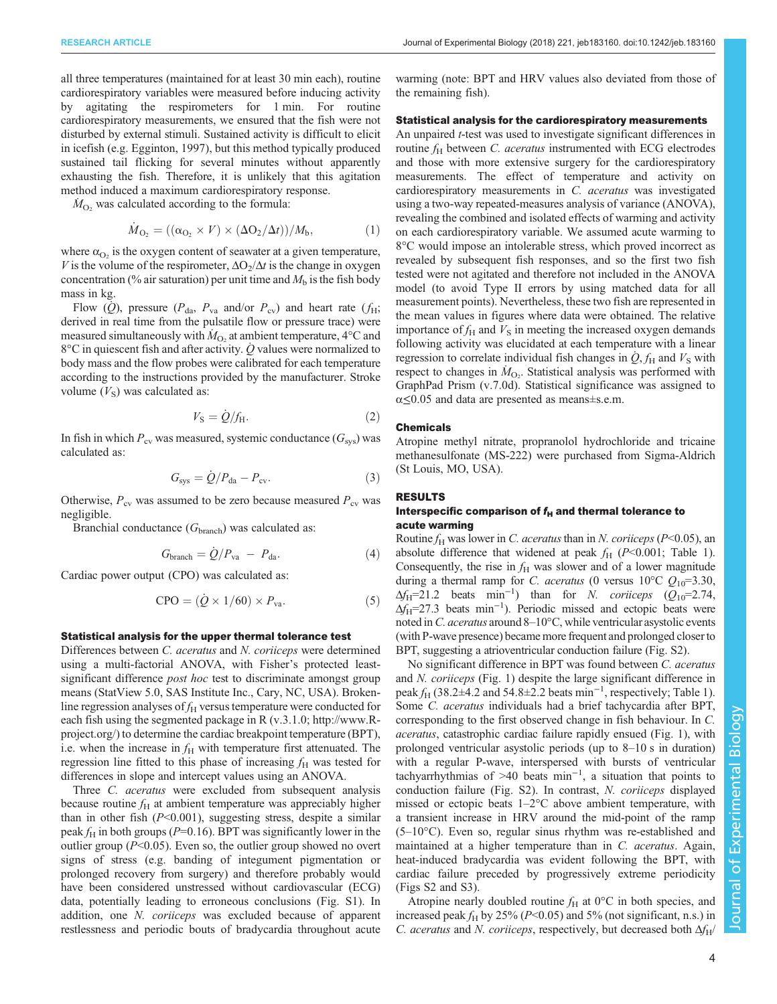all three temperatures (maintained for at least 30 min each), routine cardiorespiratory variables were measured before inducing activity by agitating the respirometers for 1 min. For routine cardiorespiratory measurements, we ensured that the fish were not disturbed by external stimuli. Sustained activity is difficult to elicit in icefish (e.g. [Egginton, 1997\)](#page-10-0), but this method typically produced sustained tail flicking for several minutes without apparently exhausting the fish. Therefore, it is unlikely that this agitation method induced a maximum cardiorespiratory response.

 $\dot{M}_{\text{O}_2}$  was calculated according to the formula:

$$
\dot{M}_{\text{O}_2} = ((\alpha_{\text{O}_2} \times V) \times (\Delta \text{O}_2/\Delta t))/M_{\text{b}},\tag{1}
$$

where  $\alpha_{\text{O}_2}$  is the oxygen content of seawater at a given temperature, V is the volume of the respirometer,  $\Delta O_2/\Delta t$  is the change in oxygen concentration (% air saturation) per unit time and  $M<sub>b</sub>$  is the fish body mass in kg.

Flow  $(Q)$ , pressure  $(P_{da}, P_{va}$  and/or  $P_{cv}$ ) and heart rate  $(f_H;$ derived in real time from the pulsatile flow or pressure trace) were measured simultaneously with  $\dot{M}_{\text{O}_2}$  at ambient temperature, 4°C and  $8^{\circ}$ C in quiescent fish and after activity. Q values were normalized to body mass and the flow probes were calibrated for each temperature according to the instructions provided by the manufacturer. Stroke volume  $(V<sub>S</sub>)$  was calculated as:

$$
V_{\rm S} = \dot{Q}/f_{\rm H}.\tag{2}
$$

In fish in which  $P_{\text{cv}}$  was measured, systemic conductance  $(G_{\text{sys}})$  was calculated as:

$$
G_{\rm sys} = \dot{Q}/P_{\rm da} - P_{\rm cv}.\tag{3}
$$

Otherwise,  $P_{\rm cv}$  was assumed to be zero because measured  $P_{\rm cv}$  was negligible.

Branchial conductance  $(G<sub>branch</sub>)$  was calculated as:

$$
Gbranch = \dot{Q}/Pva - Pda.
$$
 (4)

Cardiac power output (CPO) was calculated as:

$$
CPO = (\dot{Q} \times 1/60) \times P_{\text{va}}.\tag{5}
$$

## Statistical analysis for the upper thermal tolerance test

Differences between C. aceratus and N. coriiceps were determined using a multi-factorial ANOVA, with Fisher's protected leastsignificant difference *post hoc* test to discriminate amongst group means (StatView 5.0, SAS Institute Inc., Cary, NC, USA). Brokenline regression analyses of  $f_H$  versus temperature were conducted for each fish using the segmented package in R (v.3.1.0; [http://www.R](http://www.R-project.org/)[project.org/](http://www.R-project.org/)) to determine the cardiac breakpoint temperature (BPT), i.e. when the increase in  $f<sub>H</sub>$  with temperature first attenuated. The regression line fitted to this phase of increasing  $f_H$  was tested for differences in slope and intercept values using an ANOVA.

Three *C. aceratus* were excluded from subsequent analysis because routine  $f<sub>H</sub>$  at ambient temperature was appreciably higher than in other fish  $(P<0.001)$ , suggesting stress, despite a similar peak  $f<sub>H</sub>$  in both groups (P=0.16). BPT was significantly lower in the outlier group  $(P<0.05)$ . Even so, the outlier group showed no overt signs of stress (e.g. banding of integument pigmentation or prolonged recovery from surgery) and therefore probably would have been considered unstressed without cardiovascular (ECG) data, potentially leading to erroneous conclusions ([Fig. S1](http://jeb.biologists.org/lookup/doi/10.1242/jeb.183160.supplemental)). In addition, one N. coriiceps was excluded because of apparent restlessness and periodic bouts of bradycardia throughout acute

warming (note: BPT and HRV values also deviated from those of the remaining fish).

#### Statistical analysis for the cardiorespiratory measurements

An unpaired *t*-test was used to investigate significant differences in routine  $f_H$  between C. aceratus instrumented with ECG electrodes and those with more extensive surgery for the cardiorespiratory measurements. The effect of temperature and activity on cardiorespiratory measurements in C. aceratus was investigated using a two-way repeated-measures analysis of variance (ANOVA), revealing the combined and isolated effects of warming and activity on each cardiorespiratory variable. We assumed acute warming to 8°C would impose an intolerable stress, which proved incorrect as revealed by subsequent fish responses, and so the first two fish tested were not agitated and therefore not included in the ANOVA model (to avoid Type II errors by using matched data for all measurement points). Nevertheless, these two fish are represented in the mean values in figures where data were obtained. The relative importance of  $f_H$  and  $V_S$  in meeting the increased oxygen demands following activity was elucidated at each temperature with a linear regression to correlate individual fish changes in  $\dot{Q}$ ,  $f_H$  and  $V_S$  with respect to changes in  $\dot{M}_{\text{O}_2}$ . Statistical analysis was performed with GraphPad Prism (v.7.0d). Statistical significance was assigned to  $\alpha \leq 0.05$  and data are presented as means±s.e.m.

#### Chemicals

Atropine methyl nitrate, propranolol hydrochloride and tricaine methanesulfonate (MS-222) were purchased from Sigma-Aldrich (St Louis, MO, USA).

## RESULTS

## Interspecific comparison of  $f_H$  and thermal tolerance to acute warming

Routine  $f_H$  was lower in C. aceratus than in N. coriiceps (P<0.05), an absolute difference that widened at peak  $f_H$  (P<0.001; [Table 1\)](#page-2-0). Consequently, the rise in  $f_H$  was slower and of a lower magnitude during a thermal ramp for C. aceratus (0 versus  $10^{\circ}$ C  $Q_{10}$ =3.30,  $\Delta f_H$ =21.2 beats min<sup>-1</sup>) than for *N. coriiceps* ( $Q_{10}$ =2.74,  $\Delta f_H$ =27.3 beats min<sup>-1</sup>). Periodic missed and ectopic beats were noted in C. *aceratus* around 8–10°C, while ventricular asystolic events (with P-wave presence) became more frequent and prolonged closer to BPT, suggesting a atrioventricular conduction failure ([Fig. S2](http://jeb.biologists.org/lookup/doi/10.1242/jeb.183160.supplemental)).

No significant difference in BPT was found between C. aceratus and N. coriiceps [\(Fig. 1\)](#page-4-0) despite the large significant difference in peak  $f_H$  (38.2±4.2 and 54.8±2.2 beats min<sup>-1</sup>, respectively; [Table 1\)](#page-2-0). Some C. aceratus individuals had a brief tachycardia after BPT, corresponding to the first observed change in fish behaviour. In C. aceratus, catastrophic cardiac failure rapidly ensued ([Fig. 1\)](#page-4-0), with prolonged ventricular asystolic periods (up to 8–10 s in duration) with a regular P-wave, interspersed with bursts of ventricular tachyarrhythmias of >40 beats min−<sup>1</sup> , a situation that points to conduction failure ([Fig. S2\)](http://jeb.biologists.org/lookup/doi/10.1242/jeb.183160.supplemental). In contrast, N. coriiceps displayed missed or ectopic beats 1–2°C above ambient temperature, with a transient increase in HRV around the mid-point of the ramp (5–10°C). Even so, regular sinus rhythm was re-established and maintained at a higher temperature than in C. *aceratus*. Again, heat-induced bradycardia was evident following the BPT, with cardiac failure preceded by progressively extreme periodicity [\(Figs S2 and S3\)](http://jeb.biologists.org/lookup/doi/10.1242/jeb.183160.supplemental).

Atropine nearly doubled routine  $f_H$  at  $0^{\circ}$ C in both species, and increased peak  $f_H$  by 25% (P<0.05) and 5% (not significant, n.s.) in C. aceratus and N. coriiceps, respectively, but decreased both  $\Delta f_H$ /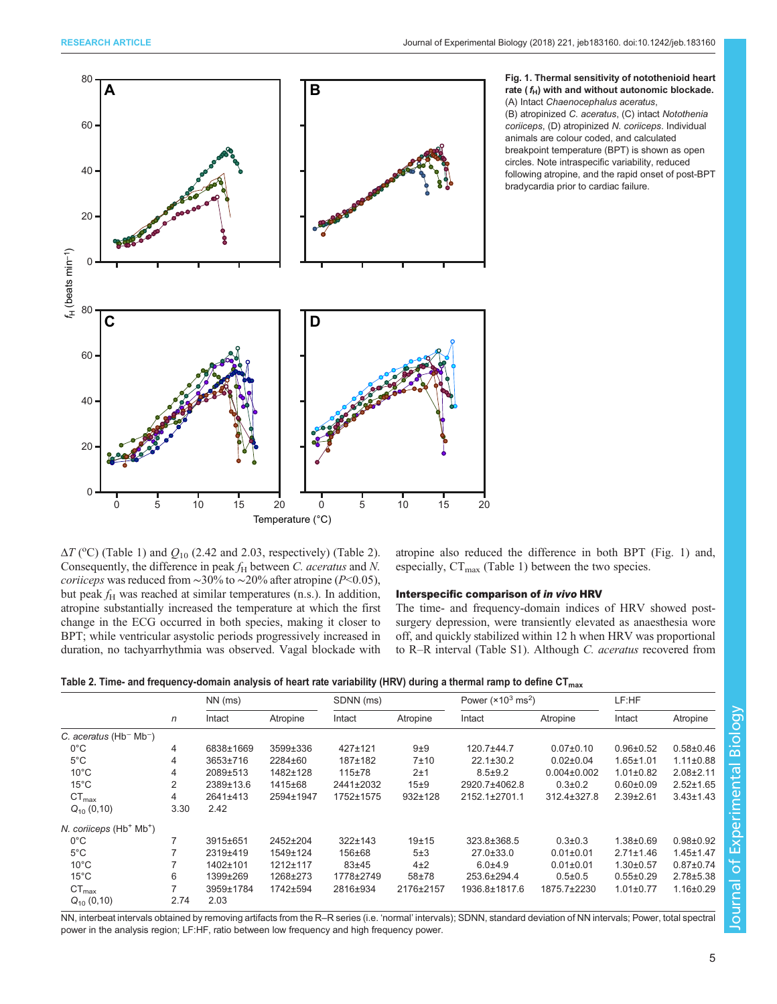<span id="page-4-0"></span>



 $\Delta T$  (°C) ([Table 1](#page-2-0)) and  $Q_{10}$  (2.42 and 2.03, respectively) (Table 2). Consequently, the difference in peak  $f_H$  between C. aceratus and N. coriiceps was reduced from ~30% to ~20% after atropine (P<0.05), but peak  $f_H$  was reached at similar temperatures (n.s.). In addition, atropine substantially increased the temperature at which the first change in the ECG occurred in both species, making it closer to BPT; while ventricular asystolic periods progressively increased in duration, no tachyarrhythmia was observed. Vagal blockade with

atropine also reduced the difference in both BPT (Fig. 1) and, especially,  $CT_{\text{max}}$  [\(Table 1\)](#page-2-0) between the two species.

#### Interspecific comparison of in vivo HRV

The time- and frequency-domain indices of HRV showed postsurgery depression, were transiently elevated as anaesthesia wore off, and quickly stabilized within 12 h when HRV was proportional to R–R interval ([Table S1](http://jeb.biologists.org/lookup/doi/10.1242/jeb.183160.supplemental)). Although C. aceratus recovered from

|  |  |  |  |  | Table 2. Time- and frequency-domain analysis of heart rate variability (HRV) during a thermal ramp to define CT $_{\rm max}$ |
|--|--|--|--|--|------------------------------------------------------------------------------------------------------------------------------|
|--|--|--|--|--|------------------------------------------------------------------------------------------------------------------------------|

|                                                   | $\mathsf{n}$ | $NN$ (ms) |           | SDNN (ms)     |           | Power ( $\times$ 10 <sup>3</sup> ms <sup>2</sup> ) |                   | LF:HF           |                 |
|---------------------------------------------------|--------------|-----------|-----------|---------------|-----------|----------------------------------------------------|-------------------|-----------------|-----------------|
|                                                   |              | Intact    | Atropine  | Intact        | Atropine  | Intact                                             | Atropine          | Intact          | Atropine        |
| C. aceratus ( $Hb$ <sup>-</sup> Mb <sup>-</sup> ) |              |           |           |               |           |                                                    |                   |                 |                 |
| $0^{\circ}$ C                                     | 4            | 6838±1669 | 3599±336  | 427±121       | 9±9       | 120.7±44.7                                         | $0.07 \pm 0.10$   | $0.96 \pm 0.52$ | $0.58 \pm 0.46$ |
| $5^{\circ}$ C                                     | 4            | 3653±716  | 2284±60   | 187±182       | 7±10      | $22.1 \pm 30.2$                                    | $0.02 \pm 0.04$   | $1.65 \pm 1.01$ | $1.11 \pm 0.88$ |
| $10^{\circ}$ C                                    | 4            | 2089±513  | 1482±128  | 115±78        | 2±1       | $8.5 + 9.2$                                        | $0.004 \pm 0.002$ | $1.01 \pm 0.82$ | $2.08 \pm 2.11$ |
| $15^{\circ}$ C                                    | 2            | 2389±13.6 | 1415±68   | 2441±2032     | 15±9      | 2920.7±4062.8                                      | $0.3 \pm 0.2$     | $0.60 \pm 0.09$ | $2.52 \pm 1.65$ |
| $CT_{max}$                                        | 4            | 2641±413  | 2594±1947 | 1752±1575     | 932±128   | 2152.1±2701.1                                      | 312.4±327.8       | $2.39 \pm 2.61$ | $3.43 \pm 1.43$ |
| $Q_{10}$ (0,10)                                   | 3.30         | 2.42      |           |               |           |                                                    |                   |                 |                 |
| N. coriiceps (Hb <sup>+</sup> Mb <sup>+</sup> )   |              |           |           |               |           |                                                    |                   |                 |                 |
| $0^{\circ}$ C                                     | 7            | 3915±651  | 2452±204  | $322 \pm 143$ | 19±15     | 323.8±368.5                                        | $0.3 \pm 0.3$     | $1.38 \pm 0.69$ | $0.98 + 0.92$   |
| $5^{\circ}$ C                                     |              | 2319±419  | 1549±124  | 156±68        | 5±3       | $27.0 \pm 33.0$                                    | $0.01 \pm 0.01$   | $2.71 \pm 1.46$ | $1.45 \pm 1.47$ |
| $10^{\circ}$ C                                    |              | 1402±101  | 1212±117  | $83 + 45$     | $4\pm 2$  | $6.0 + 4.9$                                        | $0.01 \pm 0.01$   | $1.30 \pm 0.57$ | $0.87 + 0.74$   |
| $15^{\circ}$ C                                    | 6            | 1399±269  | 1268±273  | 1778±2749     | 58±78     | 253.6±294.4                                        | $0.5 \pm 0.5$     | $0.55 \pm 0.29$ | $2.78 + 5.38$   |
| $CT_{max}$                                        |              | 3959±1784 | 1742±594  | 2816±934      | 2176±2157 | 1936.8±1817.6                                      | 1875.7±2230       | $1.01 \pm 0.77$ | $1.16 \pm 0.29$ |
| $Q_{10}$ (0,10)                                   | 2.74         | 2.03      |           |               |           |                                                    |                   |                 |                 |

NN, interbeat intervals obtained by removing artifacts from the R–R series (i.e. 'normal' intervals); SDNN, standard deviation of NN intervals; Power, total spectral power in the analysis region; LF:HF, ratio between low frequency and high frequency power.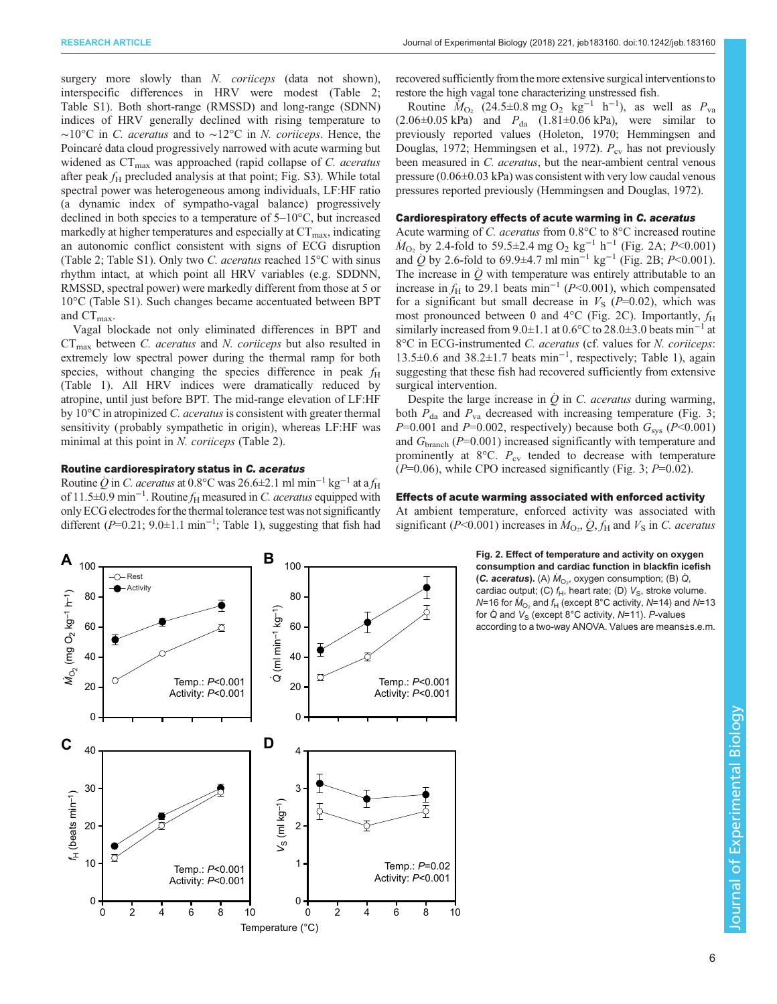<span id="page-5-0"></span>surgery more slowly than N. coriiceps (data not shown), interspecific differences in HRV were modest ([Table 2](#page-4-0); [Table S1](http://jeb.biologists.org/lookup/doi/10.1242/jeb.183160.supplemental)). Both short-range (RMSSD) and long-range (SDNN) indices of HRV generally declined with rising temperature to ∼10°C in C. aceratus and to ∼12°C in N. coriiceps. Hence, the Poincaré data cloud progressively narrowed with acute warming but widened as  $CT_{\text{max}}$  was approached (rapid collapse of C. *aceratus* after peak  $f_H$  precluded analysis at that point; [Fig. S3](http://jeb.biologists.org/lookup/doi/10.1242/jeb.183160.supplemental)). While total spectral power was heterogeneous among individuals, LF:HF ratio (a dynamic index of sympatho-vagal balance) progressively declined in both species to a temperature of 5–10°C, but increased markedly at higher temperatures and especially at  $CT_{\text{max}}$ , indicating an autonomic conflict consistent with signs of ECG disruption [\(Table 2](#page-4-0); [Table S1\)](http://jeb.biologists.org/lookup/doi/10.1242/jeb.183160.supplemental). Only two *C. aceratus* reached  $15^{\circ}$ C with sinus rhythm intact, at which point all HRV variables (e.g. SDDNN, RMSSD, spectral power) were markedly different from those at 5 or 10°C [\(Table S1](http://jeb.biologists.org/lookup/doi/10.1242/jeb.183160.supplemental)). Such changes became accentuated between BPT and CT<sub>max</sub>.

Vagal blockade not only eliminated differences in BPT and  $CT_{\text{max}}$  between *C. aceratus* and *N. coriiceps* but also resulted in extremely low spectral power during the thermal ramp for both species, without changing the species difference in peak  $f<sub>H</sub>$ [\(Table 1\)](#page-2-0). All HRV indices were dramatically reduced by atropine, until just before BPT. The mid-range elevation of LF:HF by 10°C in atropinized C. aceratus is consistent with greater thermal sensitivity ( probably sympathetic in origin), whereas LF:HF was minimal at this point in N. *coriiceps* [\(Table 2\)](#page-4-0).

## Routine cardiorespiratory status in C. aceratus

Routine Q in C. aceratus at 0.8°C was 26.6±2.1 ml min<sup>-1</sup> kg<sup>-1</sup> at a  $f_H$ of 11.5±0.9 min<sup>-1</sup>. Routine *f*<sub>H</sub> measured in *C. aceratus* equipped with only ECG electrodes for the thermal tolerance test was not significantly different ( $P=0.21$ ;  $9.0 \pm 1.1$  min<sup>-1</sup>; [Table 1\)](#page-2-0), suggesting that fish had

recovered sufficiently from the more extensive surgical interventionsto restore the high vagal tone characterizing unstressed fish.

Routine  $\dot{M}_{\text{O}_2}$  (24.5±0.8 mg O<sub>2</sub> kg<sup>-1</sup> h<sup>-1</sup>), as well as  $P_{\text{va}}$  $(2.06\pm0.05 \text{ kPa})$  and  $P_{da}$   $(1.81\pm0.06 \text{ kPa})$ , were similar to previously reported values ([Holeton, 1970](#page-10-0); [Hemmingsen and](#page-10-0) [Douglas, 1972](#page-10-0); [Hemmingsen et al., 1972\)](#page-10-0).  $P_{cy}$  has not previously been measured in C. *aceratus*, but the near-ambient central venous pressure (0.06±0.03 kPa) was consistent with very low caudal venous pressures reported previously [\(Hemmingsen and Douglas, 1972](#page-10-0)).

## Cardiorespiratory effects of acute warming in C. aceratus

Acute warming of C. aceratus from 0.8°C to 8°C increased routine  $\dot{M}_{\text{O}_2}$  by 2.4-fold to 59.5±2.4 mg O<sub>2</sub> kg<sup>-1</sup> h<sup>-1</sup> (Fig. 2A; P<0.001) and  $\dot{Q}$  by 2.6-fold to 69.9±4.7 ml min<sup>-1</sup> kg<sup>-1</sup> (Fig. 2B; P<0.001). The increase in  $\dot{Q}$  with temperature was entirely attributable to an increase in  $f<sub>H</sub>$  to 29.1 beats min<sup>-1</sup> ( $P$  < 0.001), which compensated for a significant but small decrease in  $V<sub>S</sub>$  (P=0.02), which was most pronounced between 0 and 4 $\rm{^{\circ}C}$  (Fig. 2C). Importantly,  $f_{\rm{H}}$ similarly increased from  $9.0\pm1.1$  at  $0.6\degree$ C to  $28.0\pm3.0$  beats min<sup>-1</sup> at 8°C in ECG-instrumented *C. aceratus* (cf. values for *N. coriiceps*: 13.5±0.6 and 38.2±1.7 beats min−<sup>1</sup> , respectively; [Table 1\)](#page-2-0), again suggesting that these fish had recovered sufficiently from extensive surgical intervention.

Despite the large increase in  $\dot{Q}$  in C. aceratus during warming, both  $P_{da}$  and  $P_{va}$  decreased with increasing temperature ([Fig. 3](#page-6-0);  $P=0.001$  and  $P=0.002$ , respectively) because both  $G_{\rm sys}$  ( $P<0.001$ ) and  $G<sub>branch</sub>$  ( $P=0.001$ ) increased significantly with temperature and prominently at  $8^{\circ}$ C.  $P_{\text{cv}}$  tended to decrease with temperature  $(P=0.06)$ , while CPO increased significantly [\(Fig. 3](#page-6-0);  $P=0.02$ ).

## Effects of acute warming associated with enforced activity

At ambient temperature, enforced activity was associated with significant (P<0.001) increases in  $\dot{M}_{\text{O}_2}$ ,  $\dot{Q}$ ,  $f_{\text{H}}$  and  $V_{\text{S}}$  in C. aceratus

> Fig. 2. Effect of temperature and activity on oxygen consumption and cardiac function in blackfin icefish (C. aceratus). (A)  $\dot{M}_{\text{O}_2}$ , oxygen consumption; (B)  $\dot{Q}$ , cardiac output; (C)  $f_H$ , heart rate; (D)  $V_S$ , stroke volume. N=16 for  $\dot{M}_{\Omega_2}$  and  $f_H$  (except 8°C activity, N=14) and N=13 for  $\dot{Q}$  and  $V_S$  (except 8°C activity, N=11). P-values according to a two-way ANOVA. Values are means±s.e.m.



Journal of Experimental Biologyournal of Experimental Biology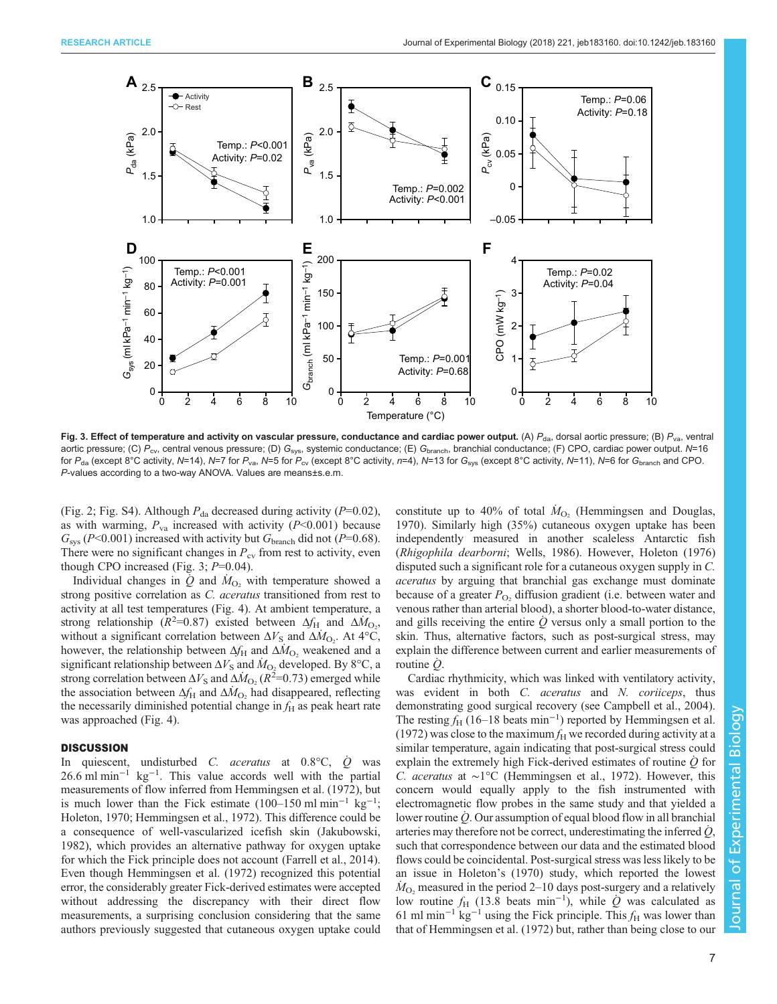<span id="page-6-0"></span>

Fig. 3. Effect of temperature and activity on vascular pressure, conductance and cardiac power output. (A)  $P_{\text{da}}$  dorsal aortic pressure; (B)  $P_{\text{va}}$ , ventral aortic pressure; (C)  $P_{\text{cv}}$ , central venous pressure; (D)  $G_{\text{sys}}$ , systemic conductance; (E)  $G_{\text{branch}}$ , branchial conductance; (F) CPO, cardiac power output. N=16 for  $P_{\text{da}}$  (except 8°C activity, N=14), N=7 for P<sub>va</sub>, N=5 for P<sub>cv</sub> (except 8°C activity, n=4), N=13 for G<sub>sys</sub> (except 8°C activity, N=11), N=6 for G<sub>branch</sub> and CPO. P-values according to a two-way ANOVA. Values are means±s.e.m.

[\(Fig. 2](#page-5-0); [Fig. S4\)](http://jeb.biologists.org/lookup/doi/10.1242/jeb.183160.supplemental). Although  $P_{da}$  decreased during activity (P=0.02), as with warming,  $P_{va}$  increased with activity ( $P<0.001$ ) because  $G_{\text{sys}}$  (P<0.001) increased with activity but  $G_{\text{branch}}$  did not (P=0.68). There were no significant changes in  $P_{\text{cv}}$  from rest to activity, even though CPO increased (Fig. 3;  $P=0.04$ ).

Individual changes in  $\overline{Q}$  and  $\dot{M}_{O_2}$  with temperature showed a strong positive correlation as C. aceratus transitioned from rest to activity at all test temperatures ([Fig. 4](#page-7-0)). At ambient temperature, a strong relationship ( $\hat{R}^2$ =0.87) existed between  $\Delta f_H$  and  $\Delta M_{\text{O}_2}$ , without a significant correlation between  $\Delta V_{\rm S}$  and  $\Delta M_{\rm O_2}$ . At 4°C, however, the relationship between  $\Delta f_H$  and  $\Delta M_{O_2}$  weakened and a significant relationship between  $\Delta V_S$  and  $\dot{M}_{O_2}$  developed. By 8°C, a strong correlation between  $\Delta V_{\rm S}$  and  $\Delta M_{\rm O_2} (R^2 = 0.73)$  emerged while the association between  $\Delta f_H$  and  $\Delta M_{O_2}$  had disappeared, reflecting the necessarily diminished potential change in  $f<sub>H</sub>$  as peak heart rate was approached ([Fig. 4](#page-7-0)).

#### **DISCUSSION**

In quiescent, undisturbed C. *aceratus* at  $0.8\degree$ C,  $\dot{Q}$  was 26.6 ml min−<sup>1</sup> kg−<sup>1</sup> . This value accords well with the partial measurements of flow inferred from [Hemmingsen et al. \(1972\)](#page-10-0), but is much lower than the Fick estimate  $(100-150 \text{ ml min}^{-1} \text{ kg}^{-1})$ ; [Holeton, 1970](#page-10-0); [Hemmingsen et al., 1972](#page-10-0)). This difference could be a consequence of well-vascularized icefish skin [\(Jakubowski,](#page-10-0) [1982](#page-10-0)), which provides an alternative pathway for oxygen uptake for which the Fick principle does not account [\(Farrell et al., 2014\)](#page-10-0). Even though [Hemmingsen et al. \(1972\)](#page-10-0) recognized this potential error, the considerably greater Fick-derived estimates were accepted without addressing the discrepancy with their direct flow measurements, a surprising conclusion considering that the same authors previously suggested that cutaneous oxygen uptake could

constitute up to 40% of total  $\dot{M}_{\text{O}_2}$  [\(Hemmingsen and Douglas,](#page-10-0) [1970\)](#page-10-0). Similarly high (35%) cutaneous oxygen uptake has been independently measured in another scaleless Antarctic fish (Rhigophila dearborni; [Wells, 1986](#page-11-0)). However, [Holeton \(1976\)](#page-10-0) disputed such a significant role for a cutaneous oxygen supply in C. aceratus by arguing that branchial gas exchange must dominate because of a greater  $P_{\text{O}_2}$  diffusion gradient (i.e. between water and venous rather than arterial blood), a shorter blood-to-water distance, and gills receiving the entire  $\dot{Q}$  versus only a small portion to the skin. Thus, alternative factors, such as post-surgical stress, may explain the difference between current and earlier measurements of routine  $\dot{Q}$ .

Cardiac rhythmicity, which was linked with ventilatory activity, was evident in both C. aceratus and N. coriiceps, thus demonstrating good surgical recovery (see [Campbell et al., 2004\)](#page-10-0). The resting  $f_H$  (16–18 beats min<sup>-1</sup>) reported by [Hemmingsen et al.](#page-10-0) [\(1972\)](#page-10-0) was close to the maximum  $f_H$  we recorded during activity at a similar temperature, again indicating that post-surgical stress could explain the extremely high Fick-derived estimates of routine Q̇ for C. aceratus at ∼1°C [\(Hemmingsen et al., 1972](#page-10-0)). However, this concern would equally apply to the fish instrumented with electromagnetic flow probes in the same study and that yielded a lower routine  $\dot{Q}$ . Our assumption of equal blood flow in all branchial arteries may therefore not be correct, underestimating the inferred  $\dot{Q}$ , such that correspondence between our data and the estimated blood flows could be coincidental. Post-surgical stress was less likely to be an issue in Holeton'[s \(1970\)](#page-10-0) study, which reported the lowest  $\dot{M}_{\text{O}_2}$  measured in the period 2–10 days post-surgery and a relatively low routine  $f_H$  (13.8 beats min<sup>-1</sup>), while  $\dot{Q}$  was calculated as 61 ml min<sup>-1</sup> kg<sup>-1</sup> using the Fick principle. This  $f_H$  was lower than that of [Hemmingsen et al. \(1972\)](#page-10-0) but, rather than being close to our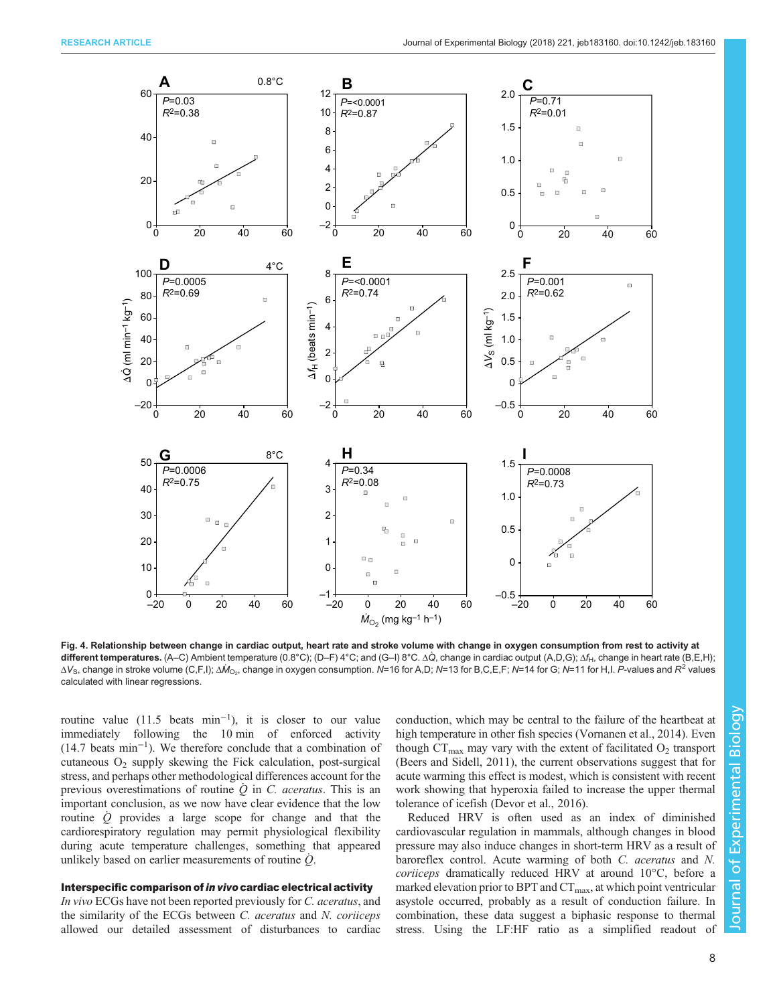<span id="page-7-0"></span>

Fig. 4. Relationship between change in cardiac output, heart rate and stroke volume with change in oxygen consumption from rest to activity at different temperatures. (A–C) Ambient temperature (0.8°C); (D–F) 4°C; and (G–I) 8°C. ΔQ, change in cardiac output (A,D,G); Δf<sub>H</sub>, change in heart rate (B,E,H);  $\Delta\mathsf{V}_\mathsf{S}$ , change in stroke volume (C,F,I);  $\Delta\dot{\mathsf{M}}_\mathsf{O_2}$ , change in oxygen consumption. N=16 for A,D; N=13 for B,C,E,F; N=14 for G; N=11 for H,I. P-values and  $R^2$  values calculated with linear regressions.

routine value  $(11.5 \text{ beats } \text{min}^{-1})$ , it is closer to our value immediately following the 10 min of enforced activity (14.7 beats min−<sup>1</sup> ). We therefore conclude that a combination of cutaneous  $O_2$  supply skewing the Fick calculation, post-surgical stress, and perhaps other methodological differences account for the previous overestimations of routine  $\ddot{Q}$  in C. aceratus. This is an important conclusion, as we now have clear evidence that the low routine  $\dot{Q}$  provides a large scope for change and that the cardiorespiratory regulation may permit physiological flexibility during acute temperature challenges, something that appeared unlikely based on earlier measurements of routine  $\dot{Q}$ .

## Interspecific comparison of in vivo cardiac electrical activity

In vivo ECGs have not been reported previously for C. aceratus, and the similarity of the ECGs between C. aceratus and N. coriiceps allowed our detailed assessment of disturbances to cardiac conduction, which may be central to the failure of the heartbeat at high temperature in other fish species ([Vornanen et al., 2014](#page-11-0)). Even though  $CT_{\text{max}}$  may vary with the extent of facilitated  $O_2$  transport [\(Beers and Sidell, 2011](#page-10-0)), the current observations suggest that for acute warming this effect is modest, which is consistent with recent work showing that hyperoxia failed to increase the upper thermal tolerance of icefish [\(Devor et al., 2016](#page-10-0)).

Reduced HRV is often used as an index of diminished cardiovascular regulation in mammals, although changes in blood pressure may also induce changes in short-term HRV as a result of baroreflex control. Acute warming of both C. aceratus and N. coriiceps dramatically reduced HRV at around 10°C, before a marked elevation prior to BPT and  $CT_{\text{max}}$ , at which point ventricular asystole occurred, probably as a result of conduction failure. In combination, these data suggest a biphasic response to thermal stress. Using the LF:HF ratio as a simplified readout of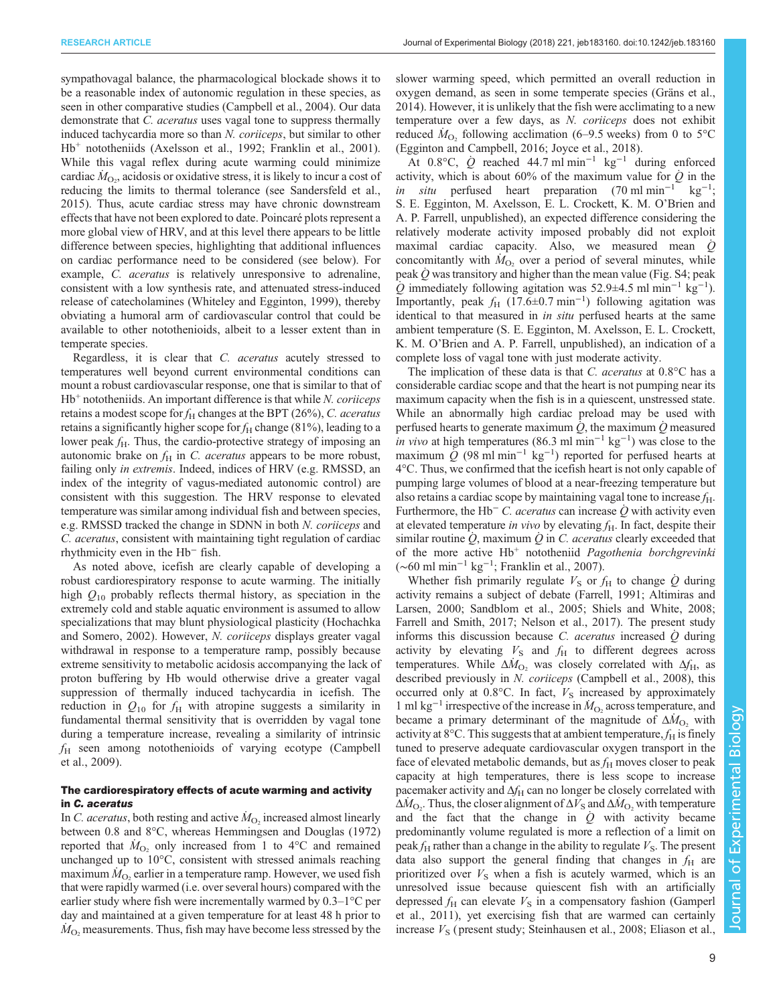sympathovagal balance, the pharmacological blockade shows it to be a reasonable index of autonomic regulation in these species, as seen in other comparative studies [\(Campbell et al., 2004\)](#page-10-0). Our data demonstrate that C. aceratus uses vagal tone to suppress thermally induced tachycardia more so than N. coriiceps, but similar to other Hb+ nototheniids ([Axelsson et al., 1992](#page-10-0); [Franklin et al., 2001\)](#page-10-0). While this vagal reflex during acute warming could minimize cardiac  $\dot{M}_{\text{O}_2}$ , acidosis or oxidative stress, it is likely to incur a cost of reducing the limits to thermal tolerance (see [Sandersfeld et al.,](#page-11-0) [2015](#page-11-0)). Thus, acute cardiac stress may have chronic downstream effects that have not been explored to date. Poincaré plots represent a more global view of HRV, and at this level there appears to be little difference between species, highlighting that additional influences on cardiac performance need to be considered (see below). For example, C. *aceratus* is relatively unresponsive to adrenaline, consistent with a low synthesis rate, and attenuated stress-induced release of catecholamines [\(Whiteley and Egginton, 1999\)](#page-11-0), thereby obviating a humoral arm of cardiovascular control that could be available to other notothenioids, albeit to a lesser extent than in temperate species.

Regardless, it is clear that C. aceratus acutely stressed to temperatures well beyond current environmental conditions can mount a robust cardiovascular response, one that is similar to that of  $Hb<sup>+</sup>$  nototheniids. An important difference is that while *N. coriiceps* retains a modest scope for  $f_H$  changes at the BPT (26%), C. aceratus retains a significantly higher scope for  $f_H$  change (81%), leading to a lower peak  $f_H$ . Thus, the cardio-protective strategy of imposing an autonomic brake on  $f<sub>H</sub>$  in C. aceratus appears to be more robust, failing only *in extremis*. Indeed, indices of HRV (e.g. RMSSD, an index of the integrity of vagus-mediated autonomic control) are consistent with this suggestion. The HRV response to elevated temperature was similar among individual fish and between species, e.g. RMSSD tracked the change in SDNN in both N. coriiceps and C. aceratus, consistent with maintaining tight regulation of cardiac rhythmicity even in the Hb<sup>−</sup> fish.

As noted above, icefish are clearly capable of developing a robust cardiorespiratory response to acute warming. The initially high  $Q_{10}$  probably reflects thermal history, as speciation in the extremely cold and stable aquatic environment is assumed to allow specializations that may blunt physiological plasticity [\(Hochachka](#page-10-0) [and Somero, 2002\)](#page-10-0). However, N. coriiceps displays greater vagal withdrawal in response to a temperature ramp, possibly because extreme sensitivity to metabolic acidosis accompanying the lack of proton buffering by Hb would otherwise drive a greater vagal suppression of thermally induced tachycardia in icefish. The reduction in  $Q_{10}$  for  $f_H$  with atropine suggests a similarity in fundamental thermal sensitivity that is overridden by vagal tone during a temperature increase, revealing a similarity of intrinsic  $f_{\rm H}$  seen among notothenioids of varying ecotype [\(Campbell](#page-10-0) [et al., 2009\)](#page-10-0).

## The cardiorespiratory effects of acute warming and activity in C. aceratus

In C. aceratus, both resting and active  $\dot{M}_{\text{O}_2}$  increased almost linearly between 0.8 and 8°C, whereas [Hemmingsen and Douglas \(1972\)](#page-10-0) reported that  $\dot{M}_{\text{O}_2}$  only increased from 1 to 4°C and remained unchanged up to 10°C, consistent with stressed animals reaching maximum  $\dot{M}_{\rm O_2}$  earlier in a temperature ramp. However, we used fish that were rapidly warmed (i.e. over several hours) compared with the earlier study where fish were incrementally warmed by 0.3–1°C per day and maintained at a given temperature for at least 48 h prior to  $\dot{M}_{\text{O}_2}$  measurements. Thus, fish may have become less stressed by the

slower warming speed, which permitted an overall reduction in oxygen demand, as seen in some temperate species ([Gräns et al.,](#page-10-0) [2014\)](#page-10-0). However, it is unlikely that the fish were acclimating to a new temperature over a few days, as N. coriiceps does not exhibit reduced  $\dot{M}_{\text{O}_2}$  following acclimation (6–9.5 weeks) from 0 to 5°C [\(Egginton and Campbell, 2016;](#page-10-0) Joyce et al., 2018).

At 0.8°C,  $\dot{Q}$  reached 44.7 ml min<sup>-1</sup> kg<sup>-1</sup> during enforced activity, which is about 60% of the maximum value for  $\dot{Q}$  in the in situ perfused heart preparation (70 ml min<sup>-1</sup> kg<sup>-1</sup>; S. E. Egginton, M. Axelsson, E. L. Crockett, K. M. O'Brien and A. P. Farrell, unpublished), an expected difference considering the relatively moderate activity imposed probably did not exploit maximal cardiac capacity. Also, we measured mean  $\dot{Q}$ concomitantly with  $\dot{M}_{\text{O}_2}$  over a period of several minutes, while peak  $\dot{Q}$  was transitory and higher than the mean value ([Fig. S4;](http://jeb.biologists.org/lookup/doi/10.1242/jeb.183160.supplemental) peak  $Q$  immediately following agitation was 52.9±4.5 ml min<sup>-1</sup> kg<sup>-1</sup>). Importantly, peak  $f_H$  (17.6±0.7 min<sup>-1</sup>) following agitation was identical to that measured in *in situ* perfused hearts at the same ambient temperature (S. E. Egginton, M. Axelsson, E. L. Crockett, K. M. O'Brien and A. P. Farrell, unpublished), an indication of a complete loss of vagal tone with just moderate activity.

The implication of these data is that C. aceratus at  $0.8^{\circ}$ C has a considerable cardiac scope and that the heart is not pumping near its maximum capacity when the fish is in a quiescent, unstressed state. While an abnormally high cardiac preload may be used with perfused hearts to generate maximum  $\dot{\mathcal{Q}}$ , the maximum  $\dot{\mathcal{Q}}$  measured *in vivo* at high temperatures (86.3 ml min<sup>-1</sup> kg<sup>-1</sup>) was close to the maximum  $\overline{Q}$  (98 ml min<sup>-1</sup> kg<sup>-1</sup>) reported for perfused hearts at 4°C. Thus, we confirmed that the icefish heart is not only capable of pumping large volumes of blood at a near-freezing temperature but also retains a cardiac scope by maintaining vagal tone to increase  $f_{\rm H}$ . Furthermore, the Hb<sup>-</sup> C. aceratus can increase Q with activity even at elevated temperature in vivo by elevating  $f_H$ . In fact, despite their similar routine  $\hat{Q}$ , maximum  $\hat{Q}$  in C. aceratus clearly exceeded that of the more active Hb<sup>+</sup> nototheniid Pagothenia borchgrevinki (∼60 ml min−<sup>1</sup> kg−<sup>1</sup> ; [Franklin et al., 2007\)](#page-10-0).

Whether fish primarily regulate  $V<sub>S</sub>$  or  $f<sub>H</sub>$  to change  $\dot{Q}$  during activity remains a subject of debate [\(Farrell, 1991; Altimiras and](#page-10-0) [Larsen, 2000;](#page-10-0) [Sandblom et al., 2005; Shiels and White, 2008](#page-11-0); [Farrell and Smith, 2017;](#page-10-0) [Nelson et al., 2017\)](#page-11-0). The present study informs this discussion because  $C$ . *aceratus* increased  $Q$  during activity by elevating  $V<sub>S</sub>$  and  $f<sub>H</sub>$  to different degrees across temperatures. While  $\Delta M_{\text{O}_2}$  was closely correlated with  $\Delta f_{\text{H}}$ , as described previously in N. coriiceps ([Campbell et al., 2008\)](#page-10-0), this occurred only at  $0.8^{\circ}$ C. In fact,  $V_s$  increased by approximately 1 ml kg<sup>-1</sup> irrespective of the increase in  $\dot{M}_{O_2}$  across temperature, and became a primary determinant of the magnitude of  $\Delta M_{\text{O}_2}$  with activity at 8°C. This suggests that at ambient temperature,  $f_H$  is finely tuned to preserve adequate cardiovascular oxygen transport in the face of elevated metabolic demands, but as  $f_H$  moves closer to peak capacity at high temperatures, there is less scope to increase pacemaker activity and  $\Delta f_H$  can no longer be closely correlated with  $\Delta M_{\rm O_2}$ . Thus, the closer alignment of  $\Delta V_{\rm S}$  and  $\Delta M_{\rm O_2}$  with temperature and the fact that the change in  $Q$  with activity became predominantly volume regulated is more a reflection of a limit on peak  $f_H$  rather than a change in the ability to regulate  $V_S$ . The present data also support the general finding that changes in  $f<sub>H</sub>$  are prioritized over  $V<sub>S</sub>$  when a fish is acutely warmed, which is an unresolved issue because quiescent fish with an artificially depressed  $f_H$  can elevate  $V_S$  in a compensatory fashion [\(Gamperl](#page-10-0) [et al., 2011](#page-10-0)), yet exercising fish that are warmed can certainly increase  $V<sub>S</sub>$  (present study; [Steinhausen et al., 2008](#page-11-0); [Eliason et al.,](#page-10-0)

Journal of Experimental Biology

 $\frac{1}{\alpha}$ 

Journal

Experimental

Biology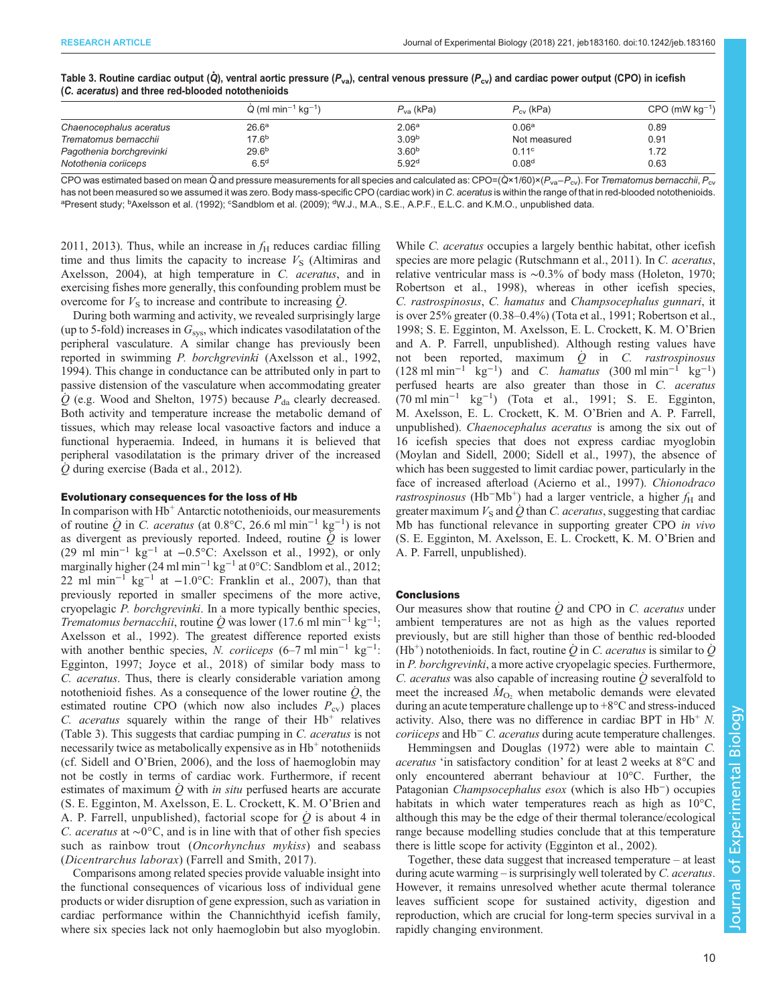|                          | $\dot{Q}$ (ml min <sup>-1</sup> kg <sup>-1</sup> ) | $P_{va}$ (kPa)    | $P_{\text{cv}}$ (kPa) | CPO (mW $kg^{-1}$ ) |
|--------------------------|----------------------------------------------------|-------------------|-----------------------|---------------------|
| Chaenocephalus aceratus  | 26.6 <sup>a</sup>                                  | 2.06 <sup>a</sup> | 0.06 <sup>a</sup>     | 0.89                |
| Trematomus bernacchii    | 17.6 <sup>b</sup>                                  | 3.09 <sup>b</sup> | Not measured          | 0.91                |
| Pagothenia borchgrevinki | 29.6 <sup>b</sup>                                  | 3.60 <sup>b</sup> | 0.11 <sup>c</sup>     | 1.72                |
| Notothenia coriiceps     | 6.5 <sup>d</sup>                                   | 5.92 <sup>d</sup> | 0.08 <sup>d</sup>     | 0.63                |

| Table 3. Routine cardiac output (Q), ventral aortic pressure ( $P_{\rm val}$ , central venous pressure ( $P_{\rm cv}$ ) and cardiac power output (CPO) in icefish |  |
|-------------------------------------------------------------------------------------------------------------------------------------------------------------------|--|
| (C. aceratus) and three red-blooded notothenioids                                                                                                                 |  |

CPO was estimated based on mean Q and pressure measurements for all species and calculated as: CPO=(Q×1/60)×(P<sub>va</sub>–P<sub>cv</sub>). For Trematomus bernacchii, P<sub>cv</sub> has not been measured so we assumed it was zero. Body mass-specific CPO (cardiac work) in C. aceratus is within the range of that in red-blooded notothenioids. aPresent study; <sup>b</sup>[Axelsson et al. \(1992\);](#page-10-0) <sup>c</sup>[Sandblom et al. \(2009\);](#page-11-0) <sup>d</sup>W.J., M.A., S.E., A.P.F., E.L.C. and K.M.O., unpublished data.

[2011](#page-10-0), [2013\)](#page-10-0). Thus, while an increase in  $f<sub>H</sub>$  reduces cardiac filling time and thus limits the capacity to increase  $V<sub>S</sub>$  ([Altimiras and](#page-10-0) [Axelsson, 2004](#page-10-0)), at high temperature in C. aceratus, and in exercising fishes more generally, this confounding problem must be overcome for  $V<sub>S</sub>$  to increase and contribute to increasing  $\dot{Q}$ .

During both warming and activity, we revealed surprisingly large (up to 5-fold) increases in  $G_{\rm sys}$ , which indicates vasodilatation of the peripheral vasculature. A similar change has previously been reported in swimming P. borchgrevinki ([Axelsson et al., 1992,](#page-10-0) [1994](#page-10-0)). This change in conductance can be attributed only in part to passive distension of the vasculature when accommodating greater  $\dot{Q}$  (e.g. [Wood and Shelton, 1975\)](#page-11-0) because  $P_{da}$  clearly decreased. Both activity and temperature increase the metabolic demand of tissues, which may release local vasoactive factors and induce a functional hyperaemia. Indeed, in humans it is believed that peripheral vasodilatation is the primary driver of the increased Q̇ during exercise ([Bada et al., 2012\)](#page-10-0).

#### Evolutionary consequences for the loss of Hb

In comparison with  $Hb<sup>+</sup>$  Antarctic notothenioids, our measurements of routine  $\dot{Q}$  in C. *aceratus* (at 0.8°C, 26.6 ml min<sup>-1</sup> kg<sup>-1</sup>) is not as divergent as previously reported. Indeed, routine  $\dot{Q}$  is lower (29 ml min−<sup>1</sup> kg−<sup>1</sup> at −0.5°C: [Axelsson et al., 1992](#page-10-0)), or only marginally higher (24 ml min<sup>-1</sup> kg<sup>-1</sup> at 0°C: [Sandblom et al., 2012](#page-11-0); 22 ml min<sup>-1</sup> kg<sup>-1</sup> at -1.0°C: [Franklin et al., 2007](#page-10-0)), than that previously reported in smaller specimens of the more active, cryopelagic P. borchgrevinki. In a more typically benthic species, Trematomus bernacchii, routine  $\dot{Q}$  was lower (17.6 ml min<sup>-1</sup> kg<sup>-1</sup>; [Axelsson et al., 1992\)](#page-10-0). The greatest difference reported exists with another benthic species, N. coriiceps  $(6-7 \text{ ml min}^{-1} \text{ kg}^{-1})$ : [Egginton, 1997](#page-10-0); Joyce et al., 2018) of similar body mass to C. aceratus. Thus, there is clearly considerable variation among notothenioid fishes. As a consequence of the lower routine  $\dot{Q}$ , the estimated routine CPO (which now also includes  $P_{cv}$ ) places  $C.$  aceratus squarely within the range of their  $Hb<sup>+</sup>$  relatives (Table 3). This suggests that cardiac pumping in C. aceratus is not necessarily twice as metabolically expensive as in Hb<sup>+</sup> nototheniids (cf. [Sidell and O](#page-11-0)'Brien, 2006), and the loss of haemoglobin may not be costly in terms of cardiac work. Furthermore, if recent estimates of maximum  $\ddot{\varrho}$  with *in situ* perfused hearts are accurate (S. E. Egginton, M. Axelsson, E. L. Crockett, K. M. O'Brien and A. P. Farrell, unpublished), factorial scope for  $\dot{Q}$  is about 4 in C. aceratus at ∼0°C, and is in line with that of other fish species such as rainbow trout (Oncorhynchus mykiss) and seabass (Dicentrarchus laborax) [\(Farrell and Smith, 2017](#page-10-0)).

Comparisons among related species provide valuable insight into the functional consequences of vicarious loss of individual gene products or wider disruption of gene expression, such as variation in cardiac performance within the Channichthyid icefish family, where six species lack not only haemoglobin but also myoglobin.

While *C. aceratus* occupies a largely benthic habitat, other icefish species are more pelagic [\(Rutschmann et al., 2011\)](#page-11-0). In C. aceratus, relative ventricular mass is ∼0.3% of body mass [\(Holeton, 1970](#page-10-0); [Robertson et al., 1998\)](#page-11-0), whereas in other icefish species, C. rastrospinosus, C. hamatus and Champsocephalus gunnari, it is over 25% greater (0.38–0.4%) [\(Tota et al., 1991](#page-11-0); [Robertson et al.,](#page-11-0) [1998](#page-11-0); S. E. Egginton, M. Axelsson, E. L. Crockett, K. M. O'Brien and A. P. Farrell, unpublished). Although resting values have not been reported, maximum  $\dot{Q}$  in C. rastrospinosus  $(128 \text{ ml min}^{-1} \text{ kg}^{-1})$  and *C. hamatus*  $(300 \text{ ml min}^{-1} \text{ kg}^{-1})$ perfused hearts are also greater than those in C. aceratus  $(70 \text{ ml min}^{-1} \text{ kg}^{-1})$  [\(Tota et al., 1991](#page-11-0); S. E. Egginton, M. Axelsson, E. L. Crockett, K. M. O'Brien and A. P. Farrell, unpublished). *Chaenocephalus aceratus* is among the six out of 16 icefish species that does not express cardiac myoglobin [\(Moylan and Sidell, 2000](#page-11-0); [Sidell et al., 1997\)](#page-11-0), the absence of which has been suggested to limit cardiac power, particularly in the face of increased afterload ([Acierno et al., 1997\)](#page-10-0). Chionodraco rastrospinosus (Hb<sup>-</sup>Mb<sup>+</sup>) had a larger ventricle, a higher  $f_H$  and greater maximum  $V<sub>S</sub>$  and Q than C. *aceratus*, suggesting that cardiac Mb has functional relevance in supporting greater CPO in vivo (S. E. Egginton, M. Axelsson, E. L. Crockett, K. M. O'Brien and A. P. Farrell, unpublished).

#### **Conclusions**

Our measures show that routine  $\dot{O}$  and CPO in C. *aceratus* under ambient temperatures are not as high as the values reported previously, but are still higher than those of benthic red-blooded  $(Hb<sup>+</sup>)$  notothenioids. In fact, routine Q in C. aceratus is similar to Q in P. borchgrevinki, a more active cryopelagic species. Furthermore, C. aceratus was also capable of increasing routine Q̇ severalfold to meet the increased  $\dot{M}_{\text{O}_2}$  when metabolic demands were elevated during an acute temperature challenge up to +8°C and stress-induced activity. Also, there was no difference in cardiac BPT in  $Hb^+N$ . coriiceps and Hb<sup>−</sup> C. aceratus during acute temperature challenges.

[Hemmingsen and Douglas \(1972\)](#page-10-0) were able to maintain C. aceratus 'in satisfactory condition' for at least 2 weeks at 8°C and only encountered aberrant behaviour at 10°C. Further, the Patagonian *Champsocephalus esox* (which is also Hb<sup>-</sup>) occupies habitats in which water temperatures reach as high as  $10^{\circ}$ C, although this may be the edge of their thermal tolerance/ecological range because modelling studies conclude that at this temperature there is little scope for activity (Egginton et al., 2002).

Together, these data suggest that increased temperature – at least during acute warming – is surprisingly well tolerated by C. aceratus. However, it remains unresolved whether acute thermal tolerance leaves sufficient scope for sustained activity, digestion and reproduction, which are crucial for long-term species survival in a rapidly changing environment.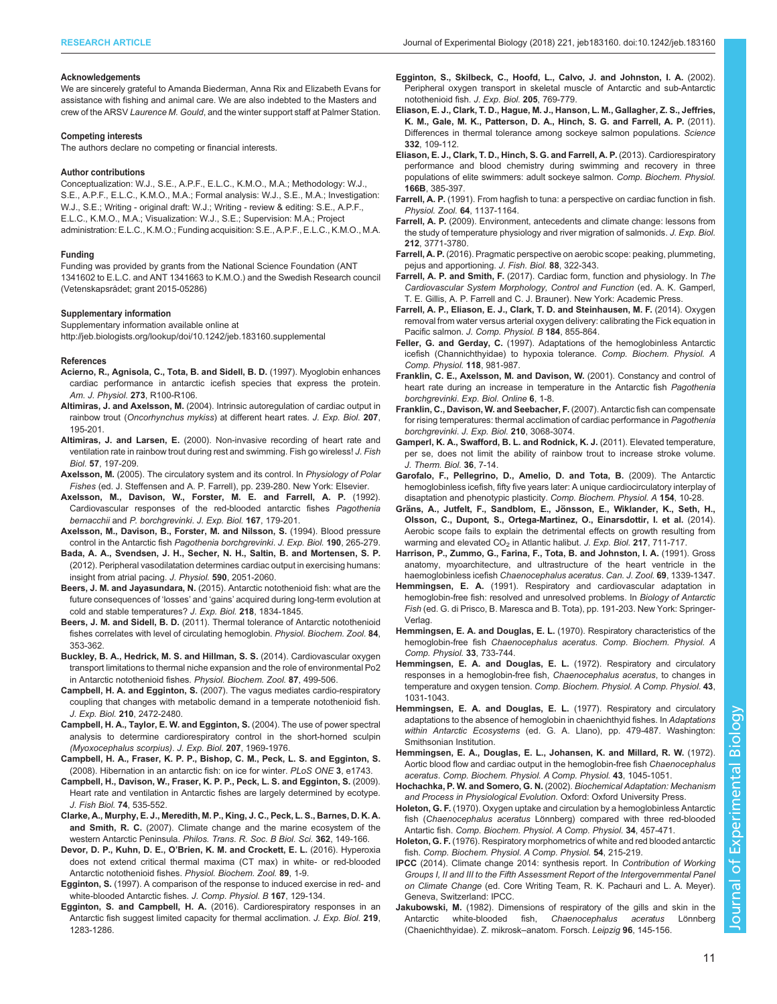#### <span id="page-10-0"></span>Acknowledgements

We are sincerely grateful to Amanda Biederman, Anna Rix and Elizabeth Evans for assistance with fishing and animal care. We are also indebted to the Masters and crew of the ARSV Laurence M. Gould, and the winter support staff at Palmer Station.

#### Competing interests

The authors declare no competing or financial interests.

#### Author contributions

Conceptualization: W.J., S.E., A.P.F., E.L.C., K.M.O., M.A.; Methodology: W.J., S.E., A.P.F., E.L.C., K.M.O., M.A.; Formal analysis: W.J., S.E., M.A.; Investigation: W.J., S.E.; Writing - original draft: W.J.; Writing - review & editing: S.E., A.P.F., E.L.C., K.M.O., M.A.; Visualization: W.J., S.E.; Supervision: M.A.; Project administration: E.L.C., K.M.O.; Funding acquisition: S.E., A.P.F., E.L.C., K.M.O., M.A.

#### Funding

Funding was provided by grants from the National Science Foundation (ANT 1341602 to E.L.C. and ANT 1341663 to K.M.O.) and the Swedish Research council (Vetenskapsrådet; grant 2015-05286)

#### Supplementary information

Supplementary information available online at <http://jeb.biologists.org/lookup/doi/10.1242/jeb.183160.supplemental>

#### References

- [Acierno, R., Agnisola, C., Tota, B. and Sidell, B. D.](http://dx.doi.org/10.1152/ajpregu.1997.273.1.R100) (1997). Myoglobin enhances [cardiac performance in antarctic icefish species that express the protein.](http://dx.doi.org/10.1152/ajpregu.1997.273.1.R100) [Am. J. Physiol.](http://dx.doi.org/10.1152/ajpregu.1997.273.1.R100) 273, R100-R106.
- Altimiras, J. and Axelsson, M. [\(2004\). Intrinsic autoregulation of cardiac output in](http://dx.doi.org/10.1242/jeb.00742) rainbow trout (Oncorhynchus mykiss[\) at different heart rates.](http://dx.doi.org/10.1242/jeb.00742) J. Exp. Biol. 207, [195-201.](http://dx.doi.org/10.1242/jeb.00742)
- Altimiras, J. and Larsen, E. [\(2000\). Non-invasive recording of heart rate and](http://dx.doi.org/10.1111/j.1095-8649.2000.tb00786.x) [ventilation rate in rainbow trout during rest and swimming. Fish go wireless!](http://dx.doi.org/10.1111/j.1095-8649.2000.tb00786.x) J. Fish Biol. 57[, 197-209.](http://dx.doi.org/10.1111/j.1095-8649.2000.tb00786.x)
- Axelsson, M. (2005). The circulatory system and its control. In Physiology of Polar Fishes (ed. J. Steffensen and A. P. Farrell), pp. 239-280. New York: Elsevier.
- Axelsson, M., Davison, W., Forster, M. E. and Farrell, A. P. (1992). Cardiovascular responses of the red-blooded antarctic fishes Pagothenia bernacchii and P. borchgrevinki. J. Exp. Biol. 167, 179-201.
- Axelsson, M., Davison, B., Forster, M. and Nilsson, S. (1994). Blood pressure control in the Antarctic fish Pagothenia borchgrevinki. J. Exp. Biol. 190, 265-279.
- [Bada, A. A., Svendsen, J. H., Secher, N. H., Saltin, B. and Mortensen, S. P.](http://dx.doi.org/10.1113/jphysiol.2011.225334) [\(2012\). Peripheral vasodilatation determines cardiac output in exercising humans:](http://dx.doi.org/10.1113/jphysiol.2011.225334) [insight from atrial pacing.](http://dx.doi.org/10.1113/jphysiol.2011.225334) J. Physiol. 590, 2051-2060.
- Beers, J. M. and Jayasundara, N. [\(2015\). Antarctic notothenioid fish: what are the](http://dx.doi.org/10.1242/jeb.116129) future consequences of 'losses' and 'gains' [acquired during long-term evolution at](http://dx.doi.org/10.1242/jeb.116129) [cold and stable temperatures?](http://dx.doi.org/10.1242/jeb.116129) J. Exp. Biol. 218, 1834-1845.
- Beers, J. M. and Sidell, B. D. [\(2011\). Thermal tolerance of Antarctic notothenioid](http://dx.doi.org/10.1086/660191) [fishes correlates with level of circulating hemoglobin.](http://dx.doi.org/10.1086/660191) Physiol. Biochem. Zool. 84, [353-362.](http://dx.doi.org/10.1086/660191)
- [Buckley, B. A., Hedrick, M. S. and Hillman, S. S.](http://dx.doi.org/10.1086/676664) (2014). Cardiovascular oxygen [transport limitations to thermal niche expansion and the role of environmental Po2](http://dx.doi.org/10.1086/676664) [in Antarctic notothenioid fishes.](http://dx.doi.org/10.1086/676664) Physiol. Biochem. Zool. 87, 499-506.
- Campbell, H. A. and Egginton, S. [\(2007\). The vagus mediates cardio-respiratory](http://dx.doi.org/10.1242/jeb.003822) [coupling that changes with metabolic demand in a temperate notothenioid fish.](http://dx.doi.org/10.1242/jeb.003822) J. Exp. Biol. 210[, 2472-2480.](http://dx.doi.org/10.1242/jeb.003822)
- [Campbell, H. A., Taylor, E. W. and Egginton, S.](http://dx.doi.org/10.1242/jeb.00972) (2004). The use of power spectral [analysis to determine cardiorespiratory control in the short-horned sculpin](http://dx.doi.org/10.1242/jeb.00972) [\(Myoxocephalus scorpius\)](http://dx.doi.org/10.1242/jeb.00972). J. Exp. Biol. 207, 1969-1976.
- [Campbell, H. A., Fraser, K. P. P., Bishop, C. M., Peck, L. S. and Egginton, S.](http://dx.doi.org/10.1371/journal.pone.0001743) [\(2008\). Hibernation in an antarctic fish: on ice for winter.](http://dx.doi.org/10.1371/journal.pone.0001743) PLoS ONE 3, e1743.
- [Campbell, H., Davison, W., Fraser, K. P. P., Peck, L. S. and Egginton, S.](http://dx.doi.org/10.1111/j.1095-8649.2008.02141.x) (2009). [Heart rate and ventilation in Antarctic fishes are largely determined by ecotype.](http://dx.doi.org/10.1111/j.1095-8649.2008.02141.x) [J. Fish Biol.](http://dx.doi.org/10.1111/j.1095-8649.2008.02141.x) 74, 535-552.
- [Clarke, A., Murphy, E. J., Meredith, M. P., King, J. C., Peck, L. S., Barnes, D. K. A.](http://dx.doi.org/10.1098/rstb.2006.1958) and Smith, R. C. [\(2007\). Climate change and the marine ecosystem of the](http://dx.doi.org/10.1098/rstb.2006.1958) western Antarctic Peninsula. [Philos. Trans. R. Soc. B Biol. Sci.](http://dx.doi.org/10.1098/rstb.2006.1958) 362, 149-166.
- Devor, D. P., Kuhn, D. E., O'[Brien, K. M. and Crockett, E. L.](http://dx.doi.org/10.1086/684812) (2016). Hyperoxia [does not extend critical thermal maxima \(CT max\) in white- or red-blooded](http://dx.doi.org/10.1086/684812) [Antarctic notothenioid fishes.](http://dx.doi.org/10.1086/684812) Physiol. Biochem. Zool. 89, 1-9.
- Egginton, S. [\(1997\). A comparison of the response to induced exercise in red- and](http://dx.doi.org/10.1007/s003600050056) [white-blooded Antarctic fishes.](http://dx.doi.org/10.1007/s003600050056) J. Comp. Physiol. B 167, 129-134.
- Egginton, S. and Campbell, H. A. [\(2016\). Cardiorespiratory responses in an](http://dx.doi.org/10.1242/jeb.130963) [Antarctic fish suggest limited capacity for thermal acclimation.](http://dx.doi.org/10.1242/jeb.130963) J. Exp. Biol. 219, [1283-1286.](http://dx.doi.org/10.1242/jeb.130963)
- Egginton, S., Skilbeck, C., Hoofd, L., Calvo, J. and Johnston, I. A. (2002). Peripheral oxygen transport in skeletal muscle of Antarctic and sub-Antarctic notothenioid fish. J. Exp. Biol. 205, 769-779.
- [Eliason, E. J., Clark, T. D., Hague, M. J., Hanson, L. M., Gallagher, Z. S., Jeffries,](http://dx.doi.org/10.1126/science.1199158) [K. M., Gale, M. K., Patterson, D. A., Hinch, S. G. and Farrell, A. P.](http://dx.doi.org/10.1126/science.1199158) (2011). [Differences in thermal tolerance among sockeye salmon populations.](http://dx.doi.org/10.1126/science.1199158) Science 332[, 109-112.](http://dx.doi.org/10.1126/science.1199158)
- [Eliason, E. J., Clark, T. D., Hinch, S. G. and Farrell, A. P.](http://dx.doi.org/10.1016/j.cbpa.2013.07.020) (2013). Cardiorespiratory [performance and blood chemistry during swimming and recovery in three](http://dx.doi.org/10.1016/j.cbpa.2013.07.020) [populations of elite swimmers: adult sockeye salmon.](http://dx.doi.org/10.1016/j.cbpa.2013.07.020) Comp. Biochem. Physiol. 166B[, 385-397.](http://dx.doi.org/10.1016/j.cbpa.2013.07.020)
- Farrell, A. P. [\(1991\). From hagfish to tuna: a perspective on cardiac function in fish.](http://dx.doi.org/10.1086/physzool.64.5.30156237) [Physiol. Zool.](http://dx.doi.org/10.1086/physzool.64.5.30156237) 64, 1137-1164.
- Farrell, A. P. [\(2009\). Environment, antecedents and climate change: lessons from](http://dx.doi.org/10.1242/jeb.023671) [the study of temperature physiology and river migration of salmonids.](http://dx.doi.org/10.1242/jeb.023671) J. Exp. Biol. 212[, 3771-3780.](http://dx.doi.org/10.1242/jeb.023671)
- Farrell, A. P. [\(2016\). Pragmatic perspective on aerobic scope: peaking, plummeting,](http://dx.doi.org/10.1111/jfb.12789) [pejus and apportioning.](http://dx.doi.org/10.1111/jfb.12789) J. Fish. Biol. 88, 322-343.
- Farrell, A. P. and Smith, F. (2017). Cardiac form, function and physiology. In The Cardiovascular System Morphology, Control and Function (ed. A. K. Gamperl, T. E. Gillis, A. P. Farrell and C. J. Brauner). New York: Academic Press.
- [Farrell, A. P., Eliason, E. J., Clark, T. D. and Steinhausen, M. F.](http://dx.doi.org/10.1007/s00360-014-0839-7) (2014). Oxygen [removal from water versus arterial oxygen delivery: calibrating the Fick equation in](http://dx.doi.org/10.1007/s00360-014-0839-7) Pacific salmon. [J. Comp. Physiol. B](http://dx.doi.org/10.1007/s00360-014-0839-7) 184, 855-864.
- Feller, G. and Gerday, C. [\(1997\). Adaptations of the hemoglobinless Antarctic](http://dx.doi.org/10.1016/S0300-9629(97)86786-2) [icefish \(Channichthyidae\) to hypoxia tolerance.](http://dx.doi.org/10.1016/S0300-9629(97)86786-2) Comp. Biochem. Physiol. A [Comp. Physiol.](http://dx.doi.org/10.1016/S0300-9629(97)86786-2) 118, 981-987.
- [Franklin, C. E., Axelsson, M. and Davison, W.](http://dx.doi.org/10.1007/s00898-001-0001-3) (2001). Constancy and control of [heart rate during an increase in temperature in the Antarctic fish](http://dx.doi.org/10.1007/s00898-001-0001-3) Pagothenia borchgrevinki. [Exp. Biol. Online](http://dx.doi.org/10.1007/s00898-001-0001-3) 6, 1-8.
- [Franklin, C., Davison, W. and Seebacher, F.](http://dx.doi.org/10.1242/jeb.003137) (2007). Antarctic fish can compensate [for rising temperatures: thermal acclimation of cardiac performance in](http://dx.doi.org/10.1242/jeb.003137) Pagothenia [borchgrevinki](http://dx.doi.org/10.1242/jeb.003137). J. Exp. Biol. 210, 3068-3074.
- [Gamperl, K. A., Swafford, B. L. and Rodnick, K. J.](http://dx.doi.org/10.1016/j.jtherbio.2010.08.007) (2011). Elevated temperature, [per se, does not limit the ability of rainbow trout to increase stroke volume.](http://dx.doi.org/10.1016/j.jtherbio.2010.08.007) [J. Therm. Biol.](http://dx.doi.org/10.1016/j.jtherbio.2010.08.007) 36, 7-14.
- [Garofalo, F., Pellegrino, D., Amelio, D. and Tota, B.](http://dx.doi.org/10.1016/j.cbpa.2009.04.621) (2009). The Antarctic [hemoglobinless icefish, fifty five years later: A unique cardiocirculatory interplay of](http://dx.doi.org/10.1016/j.cbpa.2009.04.621) [disaptation and phenotypic plasticity.](http://dx.doi.org/10.1016/j.cbpa.2009.04.621) Comp. Biochem. Physiol. A 154, 10-28.
- Gräns, A., Jutfelt, F., Sandblom, E., Jönsson, E., Wiklander, K., Seth, H., [Olsson, C., Dupont, S., Ortega-Martinez, O., Einarsdottir, I. et al.](http://dx.doi.org/10.1242/jeb.096743) (2014). [Aerobic scope fails to explain the detrimental effects on growth resulting from](http://dx.doi.org/10.1242/jeb.096743) warming and elevated  $CO<sub>2</sub>$  [in Atlantic halibut.](http://dx.doi.org/10.1242/jeb.096743) J. Exp. Biol. 217, 711-717.
- [Harrison, P., Zummo, G., Farina, F., Tota, B. and Johnston, I. A.](http://dx.doi.org/10.1139/z91-189) (1991). Gross [anatomy, myoarchitecture, and ultrastructure of the heart ventricle in the](http://dx.doi.org/10.1139/z91-189) haemoglobinless icefish [Chaenocephalus aceratus](http://dx.doi.org/10.1139/z91-189). Can. J. Zool. 69, 1339-1347.
- Hemmingsen, E. A. (1991). Respiratory and cardiovascular adaptation in hemoglobin-free fish: resolved and unresolved problems. In Biology of Antarctic Fish (ed. G. di Prisco, B. Maresca and B. Tota), pp. 191-203. New York: Springer-Verlag.
- [Hemmingsen, E. A. and Douglas, E. L.](http://dx.doi.org/10.1016/0010-406X(70)90023-X) (1970). Respiratory characteristics of the hemoglobin-free fish Chaenocephalus aceratus. [Comp. Biochem. Physiol. A](http://dx.doi.org/10.1016/0010-406X(70)90023-X) [Comp. Physiol.](http://dx.doi.org/10.1016/0010-406X(70)90023-X) 33, 733-744.
- [Hemmingsen, E. A. and Douglas, E. L.](http://dx.doi.org/10.1016/0300-9629(72)90175-2) (1972). Respiratory and circulatory [responses in a hemoglobin-free fish,](http://dx.doi.org/10.1016/0300-9629(72)90175-2) Chaenocephalus aceratus, to changes in temperature and oxygen tension. [Comp. Biochem. Physiol. A Comp. Physiol.](http://dx.doi.org/10.1016/0300-9629(72)90175-2) 43, [1031-1043.](http://dx.doi.org/10.1016/0300-9629(72)90175-2)
- Hemmingsen, E. A. and Douglas, E. L. (1977). Respiratory and circulatory adaptations to the absence of hemoglobin in chaenichthyid fishes. In Adaptations within Antarctic Ecosystems (ed. G. A. Llano), pp. 479-487. Washington: Smithsonian Institution.
- [Hemmingsen, E. A., Douglas, E. L., Johansen, K. and Millard, R. W.](http://dx.doi.org/10.1016/0300-9629(72)90176-4) (1972). [Aortic blood flow and cardiac output in the hemoglobin-free fish](http://dx.doi.org/10.1016/0300-9629(72)90176-4) Chaenocephalus aceratus. [Comp. Biochem. Physiol. A Comp. Physiol.](http://dx.doi.org/10.1016/0300-9629(72)90176-4) 43, 1045-1051.
- Hochachka, P. W. and Somero, G. N. (2002). Biochemical Adaptation: Mechanism and Process in Physiological Evolution. Oxford: Oxford University Press.
- Holeton, G. F. [\(1970\). Oxygen uptake and circulation by a hemoglobinless Antarctic](http://dx.doi.org/10.1016/0010-406X(70)90185-4) fish (Chaenocephalus aceratus Lö[nnberg\) compared with three red-blooded](http://dx.doi.org/10.1016/0010-406X(70)90185-4) Antartic fish. [Comp. Biochem. Physiol. A Comp. Physiol.](http://dx.doi.org/10.1016/0010-406X(70)90185-4) 34, 457-471.
- Holeton, G. F. [\(1976\). Respiratory morphometrics of white and red blooded antarctic](http://dx.doi.org/10.1016/S0300-9629(76)80100-4) fish. [Comp. Biochem. Physiol. A Comp. Physiol.](http://dx.doi.org/10.1016/S0300-9629(76)80100-4) 54, 215-219.
- IPCC (2014). Climate change 2014: synthesis report. In Contribution of Working Groups I, II and III to the Fifth Assessment Report of the Intergovernmental Panel on Climate Change (ed. Core Writing Team, R. K. Pachauri and L. A. Meyer). Geneva, Switzerland: IPCC.
- Jakubowski, M. (1982). Dimensions of respiratory of the gills and skin in the Antarctic white-blooded fish, Chaenocephalus aceratus Lönnberg (Chaenichthyidae). Z. mikrosk–anatom. Forsch. Leipzig 96, 145-156.